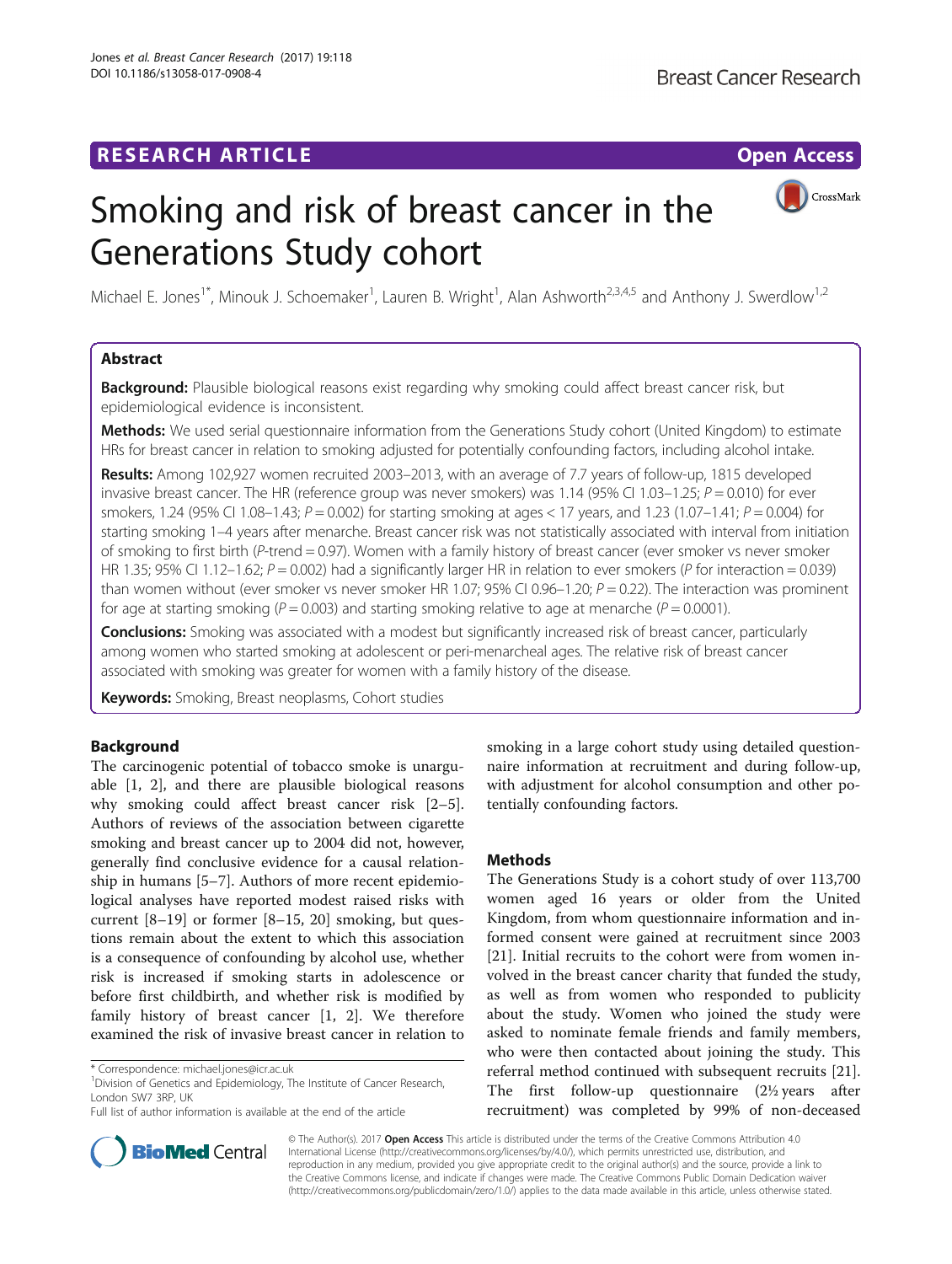

# <span id="page-0-0"></span>Smoking and risk of breast cancer in the Generations Study cohort

Michael E. Jones<sup>1\*</sup>, Minouk J. Schoemaker<sup>1</sup>, Lauren B. Wright<sup>1</sup>, Alan Ashworth<sup>2,3,4,5</sup> and Anthony J. Swerdlow<sup>1,2</sup>

#### Abstract

**Background:** Plausible biological reasons exist regarding why smoking could affect breast cancer risk, but epidemiological evidence is inconsistent.

Methods: We used serial questionnaire information from the Generations Study cohort (United Kingdom) to estimate HRs for breast cancer in relation to smoking adjusted for potentially confounding factors, including alcohol intake.

Results: Among 102,927 women recruited 2003–2013, with an average of 7.7 years of follow-up, 1815 developed invasive breast cancer. The HR (reference group was never smokers) was 1.14 (95% CI 1.03–1.25;  $P = 0.010$ ) for ever smokers, 1.24 (95% CI 1.08–1.43;  $P = 0.002$ ) for starting smoking at ages < 17 years, and 1.23 (1.07–1.41;  $P = 0.004$ ) for starting smoking 1–4 years after menarche. Breast cancer risk was not statistically associated with interval from initiation of smoking to first birth (P-trend = 0.97). Women with a family history of breast cancer (ever smoker vs never smoker HR 1.35; 95% CI 1.12–1.62;  $P = 0.002$ ) had a significantly larger HR in relation to ever smokers (P for interaction = 0.039) than women without (ever smoker vs never smoker HR 1.07; 95% CI 0.96–1.20;  $P = 0.22$ ). The interaction was prominent for age at starting smoking ( $P = 0.003$ ) and starting smoking relative to age at menarche ( $P = 0.0001$ ).

**Conclusions:** Smoking was associated with a modest but significantly increased risk of breast cancer, particularly among women who started smoking at adolescent or peri-menarcheal ages. The relative risk of breast cancer associated with smoking was greater for women with a family history of the disease.

Keywords: Smoking, Breast neoplasms, Cohort studies

#### Background

The carcinogenic potential of tobacco smoke is unarguable [[1, 2\]](#page-12-0), and there are plausible biological reasons why smoking could affect breast cancer risk [\[2](#page-12-0)–[5](#page-12-0)]. Authors of reviews of the association between cigarette smoking and breast cancer up to 2004 did not, however, generally find conclusive evidence for a causal relationship in humans [[5](#page-12-0)–[7](#page-12-0)]. Authors of more recent epidemiological analyses have reported modest raised risks with current [\[8](#page-12-0)–[19](#page-12-0)] or former [[8](#page-12-0)–[15](#page-12-0), [20\]](#page-12-0) smoking, but questions remain about the extent to which this association is a consequence of confounding by alcohol use, whether risk is increased if smoking starts in adolescence or before first childbirth, and whether risk is modified by family history of breast cancer [\[1](#page-12-0), [2](#page-12-0)]. We therefore examined the risk of invasive breast cancer in relation to

<sup>1</sup> Division of Genetics and Epidemiology, The Institute of Cancer Research, London SW7 3RP, UK



#### **Methods**

The Generations Study is a cohort study of over 113,700 women aged 16 years or older from the United Kingdom, from whom questionnaire information and informed consent were gained at recruitment since 2003 [[21\]](#page-12-0). Initial recruits to the cohort were from women involved in the breast cancer charity that funded the study, as well as from women who responded to publicity about the study. Women who joined the study were asked to nominate female friends and family members, who were then contacted about joining the study. This referral method continued with subsequent recruits [\[21](#page-12-0)]. The first follow-up questionnaire (2½ years after recruitment) was completed by 99% of non-deceased



© The Author(s). 2017 **Open Access** This article is distributed under the terms of the Creative Commons Attribution 4.0 International License [\(http://creativecommons.org/licenses/by/4.0/](http://creativecommons.org/licenses/by/4.0/)), which permits unrestricted use, distribution, and reproduction in any medium, provided you give appropriate credit to the original author(s) and the source, provide a link to the Creative Commons license, and indicate if changes were made. The Creative Commons Public Domain Dedication waiver [\(http://creativecommons.org/publicdomain/zero/1.0/](http://creativecommons.org/publicdomain/zero/1.0/)) applies to the data made available in this article, unless otherwise stated.

<sup>\*</sup> Correspondence: [michael.jones@icr.ac.uk](mailto:michael.jones@icr.ac.uk) <sup>1</sup>

Full list of author information is available at the end of the article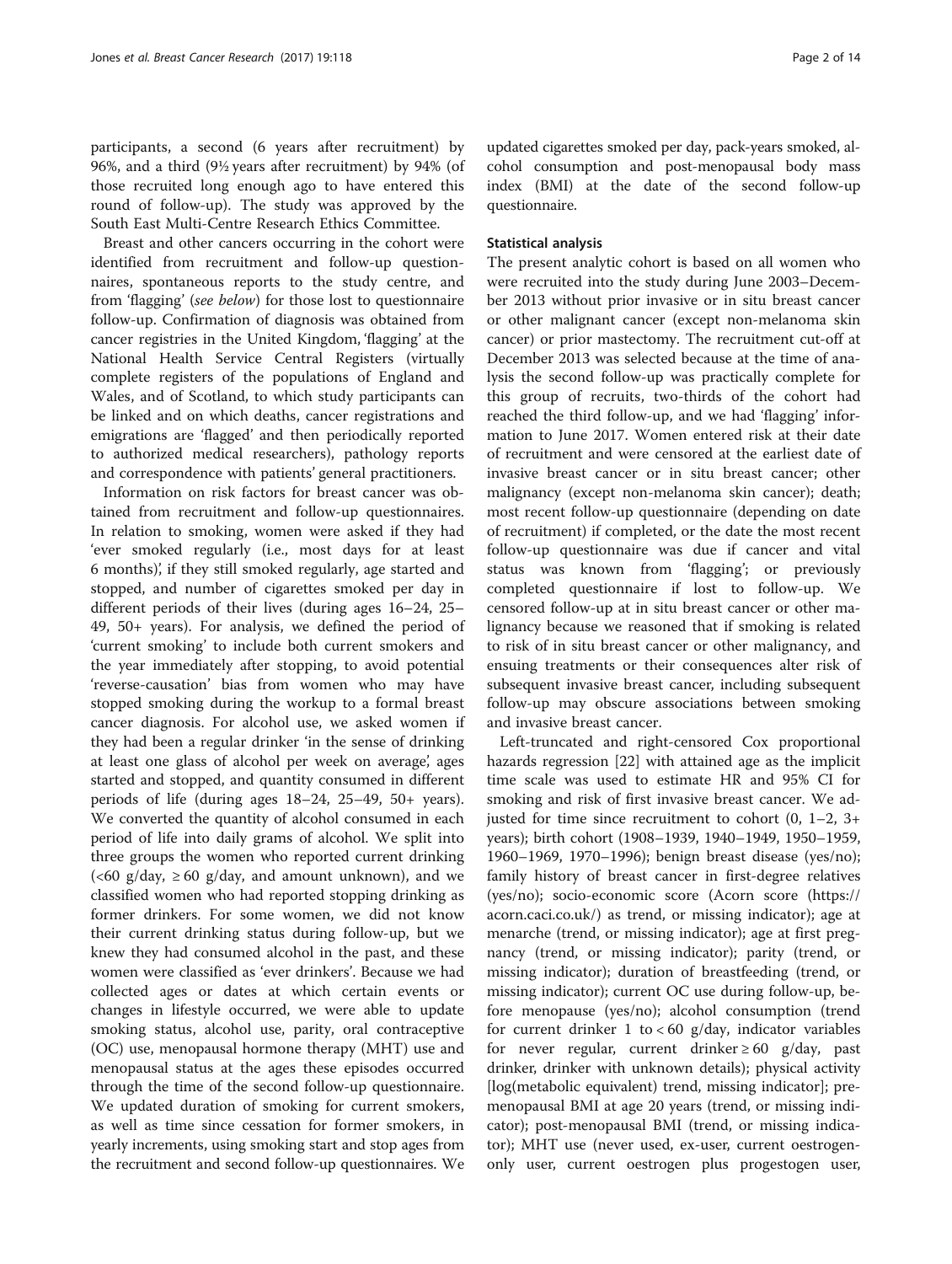participants, a second (6 years after recruitment) by 96%, and a third (9½ years after recruitment) by 94% (of those recruited long enough ago to have entered this round of follow-up). The study was approved by the South East Multi-Centre Research Ethics Committee.

Breast and other cancers occurring in the cohort were identified from recruitment and follow-up questionnaires, spontaneous reports to the study centre, and from 'flagging' (see below) for those lost to questionnaire follow-up. Confirmation of diagnosis was obtained from cancer registries in the United Kingdom, 'flagging' at the National Health Service Central Registers (virtually complete registers of the populations of England and Wales, and of Scotland, to which study participants can be linked and on which deaths, cancer registrations and emigrations are 'flagged' and then periodically reported to authorized medical researchers), pathology reports and correspondence with patients' general practitioners.

Information on risk factors for breast cancer was obtained from recruitment and follow-up questionnaires. In relation to smoking, women were asked if they had 'ever smoked regularly (i.e., most days for at least 6 months)', if they still smoked regularly, age started and stopped, and number of cigarettes smoked per day in different periods of their lives (during ages 16–24, 25– 49, 50+ years). For analysis, we defined the period of 'current smoking' to include both current smokers and the year immediately after stopping, to avoid potential 'reverse-causation' bias from women who may have stopped smoking during the workup to a formal breast cancer diagnosis. For alcohol use, we asked women if they had been a regular drinker 'in the sense of drinking at least one glass of alcohol per week on average', ages started and stopped, and quantity consumed in different periods of life (during ages 18–24, 25–49, 50+ years). We converted the quantity of alcohol consumed in each period of life into daily grams of alcohol. We split into three groups the women who reported current drinking  $(<60 \text{ g/day}, \geq 60 \text{ g/day}, \text{ and amount unknown}$ , and we classified women who had reported stopping drinking as former drinkers. For some women, we did not know their current drinking status during follow-up, but we knew they had consumed alcohol in the past, and these women were classified as 'ever drinkers'. Because we had collected ages or dates at which certain events or changes in lifestyle occurred, we were able to update smoking status, alcohol use, parity, oral contraceptive (OC) use, menopausal hormone therapy (MHT) use and menopausal status at the ages these episodes occurred through the time of the second follow-up questionnaire. We updated duration of smoking for current smokers, as well as time since cessation for former smokers, in yearly increments, using smoking start and stop ages from the recruitment and second follow-up questionnaires. We

updated cigarettes smoked per day, pack-years smoked, alcohol consumption and post-menopausal body mass index (BMI) at the date of the second follow-up questionnaire.

#### Statistical analysis

The present analytic cohort is based on all women who were recruited into the study during June 2003–December 2013 without prior invasive or in situ breast cancer or other malignant cancer (except non-melanoma skin cancer) or prior mastectomy. The recruitment cut-off at December 2013 was selected because at the time of analysis the second follow-up was practically complete for this group of recruits, two-thirds of the cohort had reached the third follow-up, and we had 'flagging' information to June 2017. Women entered risk at their date of recruitment and were censored at the earliest date of invasive breast cancer or in situ breast cancer; other malignancy (except non-melanoma skin cancer); death; most recent follow-up questionnaire (depending on date of recruitment) if completed, or the date the most recent follow-up questionnaire was due if cancer and vital status was known from 'flagging'; or previously completed questionnaire if lost to follow-up. We censored follow-up at in situ breast cancer or other malignancy because we reasoned that if smoking is related to risk of in situ breast cancer or other malignancy, and ensuing treatments or their consequences alter risk of subsequent invasive breast cancer, including subsequent follow-up may obscure associations between smoking and invasive breast cancer.

Left-truncated and right-censored Cox proportional hazards regression [[22\]](#page-12-0) with attained age as the implicit time scale was used to estimate HR and 95% CI for smoking and risk of first invasive breast cancer. We adjusted for time since recruitment to cohort  $(0, 1-2, 3+$ years); birth cohort (1908–1939, 1940–1949, 1950–1959, 1960–1969, 1970–1996); benign breast disease (yes/no); family history of breast cancer in first-degree relatives (yes/no); socio-economic score (Acorn score [\(https://](https://acorn.caci.co.uk/) [acorn.caci.co.uk/](https://acorn.caci.co.uk/)) as trend, or missing indicator); age at menarche (trend, or missing indicator); age at first pregnancy (trend, or missing indicator); parity (trend, or missing indicator); duration of breastfeeding (trend, or missing indicator); current OC use during follow-up, before menopause (yes/no); alcohol consumption (trend for current drinker 1 to  $< 60$  g/day, indicator variables for never regular, current drinker  $\geq 60$  g/day, past drinker, drinker with unknown details); physical activity [log(metabolic equivalent) trend, missing indicator]; premenopausal BMI at age 20 years (trend, or missing indicator); post-menopausal BMI (trend, or missing indicator); MHT use (never used, ex-user, current oestrogenonly user, current oestrogen plus progestogen user,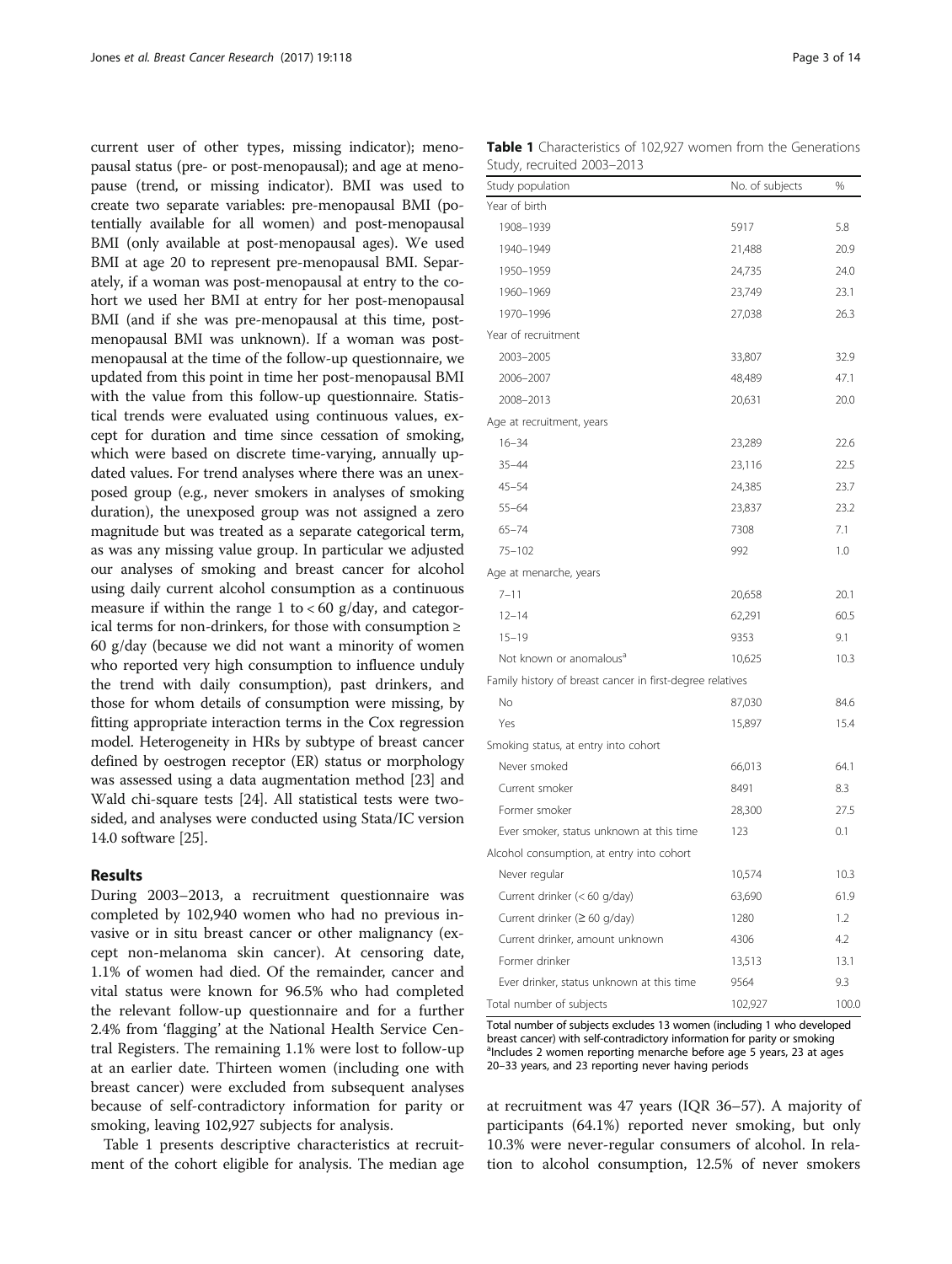current user of other types, missing indicator); menopausal status (pre- or post-menopausal); and age at menopause (trend, or missing indicator). BMI was used to create two separate variables: pre-menopausal BMI (potentially available for all women) and post-menopausal BMI (only available at post-menopausal ages). We used BMI at age 20 to represent pre-menopausal BMI. Separately, if a woman was post-menopausal at entry to the cohort we used her BMI at entry for her post-menopausal BMI (and if she was pre-menopausal at this time, postmenopausal BMI was unknown). If a woman was postmenopausal at the time of the follow-up questionnaire, we updated from this point in time her post-menopausal BMI with the value from this follow-up questionnaire. Statistical trends were evaluated using continuous values, except for duration and time since cessation of smoking, which were based on discrete time-varying, annually updated values. For trend analyses where there was an unexposed group (e.g., never smokers in analyses of smoking duration), the unexposed group was not assigned a zero magnitude but was treated as a separate categorical term, as was any missing value group. In particular we adjusted our analyses of smoking and breast cancer for alcohol using daily current alcohol consumption as a continuous measure if within the range 1 to  $< 60$  g/day, and categorical terms for non-drinkers, for those with consumption ≥ 60 g/day (because we did not want a minority of women who reported very high consumption to influence unduly the trend with daily consumption), past drinkers, and those for whom details of consumption were missing, by fitting appropriate interaction terms in the Cox regression model. Heterogeneity in HRs by subtype of breast cancer defined by oestrogen receptor (ER) status or morphology was assessed using a data augmentation method [[23](#page-12-0)] and Wald chi-square tests [[24](#page-12-0)]. All statistical tests were twosided, and analyses were conducted using Stata/IC version 14.0 software [\[25\]](#page-12-0).

#### Results

During 2003–2013, a recruitment questionnaire was completed by 102,940 women who had no previous invasive or in situ breast cancer or other malignancy (except non-melanoma skin cancer). At censoring date, 1.1% of women had died. Of the remainder, cancer and vital status were known for 96.5% who had completed the relevant follow-up questionnaire and for a further 2.4% from 'flagging' at the National Health Service Central Registers. The remaining 1.1% were lost to follow-up at an earlier date. Thirteen women (including one with breast cancer) were excluded from subsequent analyses because of self-contradictory information for parity or smoking, leaving 102,927 subjects for analysis.

Table 1 presents descriptive characteristics at recruitment of the cohort eligible for analysis. The median age

Table 1 Characteristics of 102,927 women from the Generations Study, recruited 2003–2013

| Study population                                          | No. of subjects | %     |
|-----------------------------------------------------------|-----------------|-------|
| Year of birth                                             |                 |       |
| 1908-1939                                                 | 5917            | 5.8   |
| 1940-1949                                                 | 21,488          | 20.9  |
| 1950-1959                                                 | 24,735          | 24.0  |
| 1960-1969                                                 | 23,749          | 23.1  |
| 1970-1996                                                 | 27,038          | 26.3  |
| Year of recruitment                                       |                 |       |
| 2003-2005                                                 | 33,807          | 32.9  |
| 2006-2007                                                 | 48,489          | 47.1  |
| 2008-2013                                                 | 20,631          | 20.0  |
| Age at recruitment, years                                 |                 |       |
| $16 - 34$                                                 | 23,289          | 22.6  |
| $35 - 44$                                                 | 23,116          | 22.5  |
| $45 - 54$                                                 | 24,385          | 23.7  |
| $55 - 64$                                                 | 23,837          | 23.2  |
| $65 - 74$                                                 | 7308            | 7.1   |
| $75 - 102$                                                | 992             | 1.0   |
| Age at menarche, years                                    |                 |       |
| $7 - 11$                                                  | 20,658          | 20.1  |
| $12 - 14$                                                 | 62,291          | 60.5  |
| $15 - 19$                                                 | 9353            | 9.1   |
| Not known or anomalous <sup>a</sup>                       | 10,625          | 10.3  |
| Family history of breast cancer in first-degree relatives |                 |       |
| No                                                        | 87,030          | 84.6  |
| Yes                                                       | 15,897          | 15.4  |
| Smoking status, at entry into cohort                      |                 |       |
| Never smoked                                              | 66,013          | 64.1  |
| Current smoker                                            | 8491            | 8.3   |
| Former smoker                                             | 28,300          | 27.5  |
| Ever smoker, status unknown at this time                  | 123             | 0.1   |
| Alcohol consumption, at entry into cohort                 |                 |       |
| Never regular                                             | 10,574          | 10.3  |
| Current drinker (<60 g/day)                               | 63,690          | 61.9  |
| Current drinker (≥ 60 g/day)                              | 1280            | 1.2   |
| Current drinker, amount unknown                           | 4306            | 4.2   |
| Former drinker                                            | 13,513          | 13.1  |
| Ever drinker, status unknown at this time                 | 9564            | 9.3   |
| Total number of subjects                                  | 102,927         | 100.0 |

Total number of subjects excludes 13 women (including 1 who developed breast cancer) with self-contradictory information for parity or smoking alncludes 2 women reporting menarche before age 5 years, 23 at ages 20–33 years, and 23 reporting never having periods

at recruitment was 47 years (IQR 36–57). A majority of participants (64.1%) reported never smoking, but only 10.3% were never-regular consumers of alcohol. In relation to alcohol consumption, 12.5% of never smokers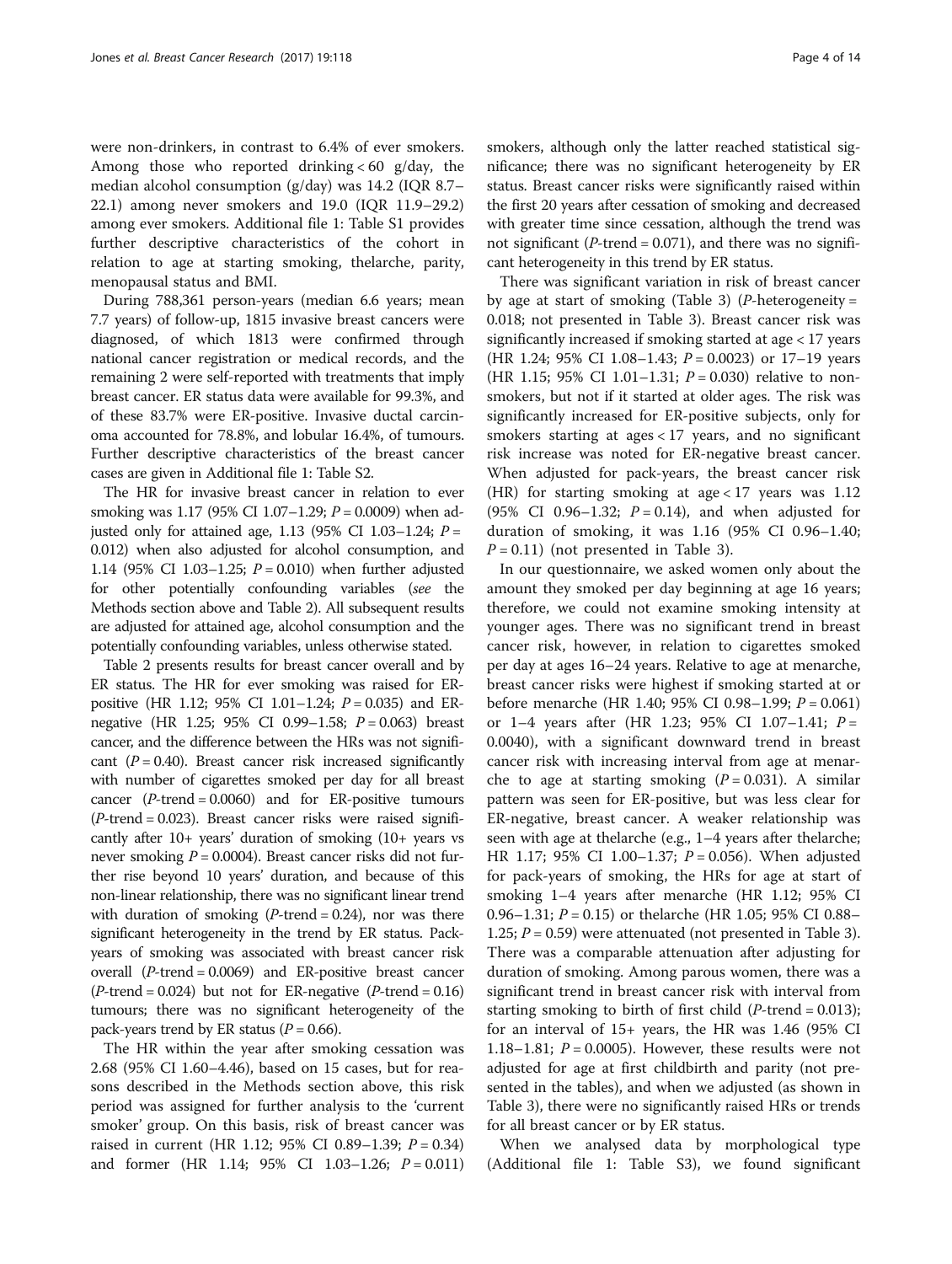were non-drinkers, in contrast to 6.4% of ever smokers. Among those who reported drinking  $< 60$  g/day, the median alcohol consumption (g/day) was 14.2 (IQR 8.7– 22.1) among never smokers and 19.0 (IQR 11.9–29.2) among ever smokers. Additional file [1:](#page-11-0) Table S1 provides further descriptive characteristics of the cohort in relation to age at starting smoking, thelarche, parity, menopausal status and BMI.

During 788,361 person-years (median 6.6 years; mean 7.7 years) of follow-up, 1815 invasive breast cancers were diagnosed, of which 1813 were confirmed through national cancer registration or medical records, and the remaining 2 were self-reported with treatments that imply breast cancer. ER status data were available for 99.3%, and of these 83.7% were ER-positive. Invasive ductal carcinoma accounted for 78.8%, and lobular 16.4%, of tumours. Further descriptive characteristics of the breast cancer cases are given in Additional file [1](#page-11-0): Table S2.

The HR for invasive breast cancer in relation to ever smoking was 1.17 (95% CI 1.07–1.29;  $P = 0.0009$ ) when adjusted only for attained age, 1.13 (95% CI 1.03–1.24;  $P =$ 0.012) when also adjusted for alcohol consumption, and 1.14 (95% CI 1.03–1.25;  $P = 0.010$ ) when further adjusted for other potentially confounding variables (see the [Methods](#page-0-0) section above and Table [2\)](#page-4-0). All subsequent results are adjusted for attained age, alcohol consumption and the potentially confounding variables, unless otherwise stated.

Table [2](#page-4-0) presents results for breast cancer overall and by ER status. The HR for ever smoking was raised for ERpositive (HR 1.12; 95% CI 1.01–1.24;  $P = 0.035$ ) and ERnegative (HR 1.25; 95% CI 0.99–1.58; P = 0.063) breast cancer, and the difference between the HRs was not significant  $(P = 0.40)$ . Breast cancer risk increased significantly with number of cigarettes smoked per day for all breast cancer  $(P\text{-trend} = 0.0060)$  and for ER-positive tumours  $(P$ -trend = 0.023). Breast cancer risks were raised significantly after 10+ years' duration of smoking (10+ years vs never smoking  $P = 0.0004$ ). Breast cancer risks did not further rise beyond 10 years' duration, and because of this non-linear relationship, there was no significant linear trend with duration of smoking  $(P\text{-}trend = 0.24)$ , nor was there significant heterogeneity in the trend by ER status. Packyears of smoking was associated with breast cancer risk overall  $(P$ -trend = 0.0069) and ER-positive breast cancer  $(P$ -trend = 0.024) but not for ER-negative  $(P$ -trend = 0.16) tumours; there was no significant heterogeneity of the pack-years trend by ER status ( $P = 0.66$ ).

The HR within the year after smoking cessation was 2.68 (95% CI 1.60–4.46), based on 15 cases, but for reasons described in the [Methods](#page-0-0) section above, this risk period was assigned for further analysis to the 'current smoker' group. On this basis, risk of breast cancer was raised in current (HR 1.12; 95% CI 0.89–1.39;  $P = 0.34$ ) and former (HR 1.14;  $95\%$  CI 1.03-1.26;  $P = 0.011$ ) smokers, although only the latter reached statistical significance; there was no significant heterogeneity by ER status. Breast cancer risks were significantly raised within the first 20 years after cessation of smoking and decreased with greater time since cessation, although the trend was not significant ( $P$ -trend = 0.071), and there was no significant heterogeneity in this trend by ER status.

There was significant variation in risk of breast cancer by age at start of smoking (Table [3\)](#page-6-0) (*P*-heterogeneity = 0.018; not presented in Table [3\)](#page-6-0). Breast cancer risk was significantly increased if smoking started at age < 17 years (HR 1.24; 95% CI 1.08–1.43;  $P = 0.0023$ ) or 17–19 years (HR 1.15; 95% CI 1.01–1.31;  $P = 0.030$ ) relative to nonsmokers, but not if it started at older ages. The risk was significantly increased for ER-positive subjects, only for smokers starting at ages < 17 years, and no significant risk increase was noted for ER-negative breast cancer. When adjusted for pack-years, the breast cancer risk (HR) for starting smoking at age  $< 17$  years was 1.12 (95% CI 0.96–1.32;  $P = 0.14$ ), and when adjusted for duration of smoking, it was 1.16 (95% CI 0.96–1.40;  $P = 0.11$ ) (not presented in Table [3\)](#page-6-0).

In our questionnaire, we asked women only about the amount they smoked per day beginning at age 16 years; therefore, we could not examine smoking intensity at younger ages. There was no significant trend in breast cancer risk, however, in relation to cigarettes smoked per day at ages 16–24 years. Relative to age at menarche, breast cancer risks were highest if smoking started at or before menarche (HR 1.40; 95% CI 0.98–1.99; P = 0.061) or 1–4 years after (HR 1.23; 95% CI 1.07–1.41;  $P =$ 0.0040), with a significant downward trend in breast cancer risk with increasing interval from age at menarche to age at starting smoking  $(P = 0.031)$ . A similar pattern was seen for ER-positive, but was less clear for ER-negative, breast cancer. A weaker relationship was seen with age at thelarche (e.g., 1–4 years after thelarche; HR 1.17; 95% CI 1.00–1.37;  $P = 0.056$ ). When adjusted for pack-years of smoking, the HRs for age at start of smoking 1–4 years after menarche (HR 1.12; 95% CI 0.96–1.31;  $P = 0.15$ ) or the larche (HR 1.05; 95% CI 0.88– 1.25;  $P = 0.59$ ) were attenuated (not presented in Table [3](#page-6-0)). There was a comparable attenuation after adjusting for duration of smoking. Among parous women, there was a significant trend in breast cancer risk with interval from starting smoking to birth of first child  $(P$ -trend = 0.013); for an interval of 15+ years, the HR was 1.46 (95% CI 1.18–1.81;  $P = 0.0005$ ). However, these results were not adjusted for age at first childbirth and parity (not presented in the tables), and when we adjusted (as shown in Table [3\)](#page-6-0), there were no significantly raised HRs or trends for all breast cancer or by ER status.

When we analysed data by morphological type (Additional file [1:](#page-11-0) Table S3), we found significant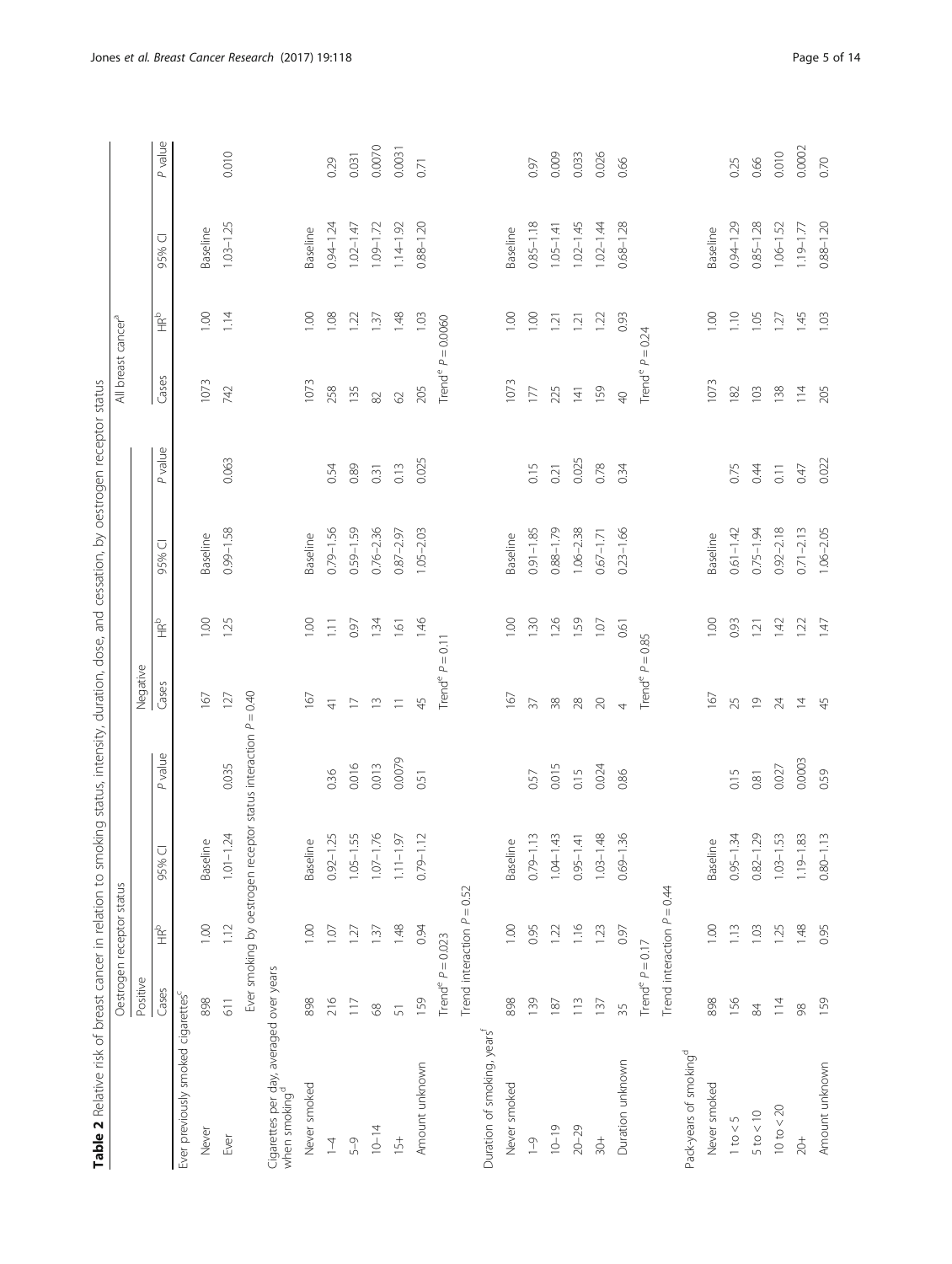| Ş                             |
|-------------------------------|
| 5                             |
| i                             |
| ï<br>$\ddot{\phantom{0}}$     |
| 'nς<br>ì                      |
| Ò<br>j<br>í<br>ï<br>j         |
| 1<br>ś                        |
| d<br>ï                        |
| ز<br>آ<br>i<br>j<br>÷<br>Ó    |
|                               |
| この<br>i<br>Ò<br>j             |
|                               |
| $\overline{\phantom{a}}$<br>J |
| ¢<br>İ<br>j                   |
| ă                             |
| i<br>C<br>1<br>i              |
| i<br>Ì<br>í                   |
| ₹<br>j<br>ś                   |
| ¢<br>Ï                        |
| י<br>נו<br>d                  |
| č<br>١<br>ī<br>Ï              |
| ļ                             |
| ć<br>j                        |
| $-1 - 1$<br>ï                 |
| f<br>ì                        |
|                               |
| f<br>ï<br>j                   |
| i<br>ł<br>۱<br>ٳ              |
| $\frac{1}{2}$<br>f            |
| i                             |
|                               |
| $-1$<br>$\frac{1}{2}$         |
| ĭ<br>٦<br>ì                   |
| ġ<br>į                        |
| $\sim$<br>$\overline{ }$      |
|                               |
| $\frac{1}{2}$                 |
| Ì                             |
| Ò<br>j<br>Ę                   |
| 5<br>i<br>ļ<br>ī              |
|                               |
| ⊆                             |
| iCAr<br>リリ                    |
| á,                            |
| í                             |
| ά<br>ś<br>i<br>ï              |
| į<br>í<br>l<br>)              |
|                               |
|                               |
| j<br>$\overline{a}$           |
| g<br>j<br>š                   |
| 3<br>$\overline{a}$           |
| Relati<br>$\overline{ }$      |
| Ï<br>ť<br>Į                   |
|                               |
| able.                         |
| É                             |

<span id="page-4-0"></span>

| Table 2 Relative risk of breast cancer in relation to smoking status, intensity, duration, dose, and cessation, by oestrogen receptor status |                                |                              |                                                                |         |                               |               |               |         |                                 |        |               |         |
|----------------------------------------------------------------------------------------------------------------------------------------------|--------------------------------|------------------------------|----------------------------------------------------------------|---------|-------------------------------|---------------|---------------|---------|---------------------------------|--------|---------------|---------|
|                                                                                                                                              |                                | Oestrogen receptor status    |                                                                |         |                               |               |               |         | All breast cancer <sup>a</sup>  |        |               |         |
|                                                                                                                                              | Positive                       |                              |                                                                |         | Negative                      |               |               |         |                                 |        |               |         |
|                                                                                                                                              | Cases                          | ает<br>Н                     | $\overline{\cup}$<br>95%                                       | P value | Cases                         | $\frac{1}{2}$ | 95% CI        | P value | Cases                           | 。<br>全 | ○<br>95%      | P value |
| Ever previously smoked cigarettes <sup>c</sup>                                                                                               |                                |                              |                                                                |         |                               |               |               |         |                                 |        |               |         |
| Never                                                                                                                                        | 898                            | 0.001                        | Baseline                                                       |         | 167                           | 0.00          | Baseline      |         | 1073                            | 1.00   | Baseline      |         |
| Ever                                                                                                                                         | $\frac{1}{6}$                  | 1.12                         | $1.01 - 1.24$                                                  | 0.035   | 127                           | 1.25          | $0.99 - 1.58$ | 0.063   | 742                             | 1.14   | $1.03 - 1.25$ | 0.010   |
|                                                                                                                                              |                                |                              | Ever smoking by oestrogen receptor status interaction P = 0.40 |         |                               |               |               |         |                                 |        |               |         |
| Cigarettes per day, averaged over years<br>when smoking <sup>d</sup>                                                                         |                                |                              |                                                                |         |                               |               |               |         |                                 |        |               |         |
| Never smoked                                                                                                                                 | 898                            | 1.00                         | Baseline                                                       |         | 167                           | 1.00          | Baseline      |         | 1073                            | 0.00   | Baseline      |         |
| $\overline{1}$                                                                                                                               | 216                            | 1.07                         | $0.92 - 1.25$                                                  | 0.36    | $\overline{4}$                | 1.11          | $0.79 - 1.56$ | 0.54    | 258                             | 1.08   | $0.94 - 1.24$ | 0.29    |
| $5 - 9$                                                                                                                                      | 117                            | 1.27                         | $1.05 - 1.55$                                                  | 0.016   | $\overline{\phantom{0}}$      | 0.97          | $0.59 - 1.59$ | 0.89    | 135                             | 1.22   | $1.02 - 1.47$ | 0.031   |
| $10 - 14$                                                                                                                                    | 89                             | 1.37                         | $1.07 - 1.76$                                                  | 0.013   | $\widetilde{\Box}$            | 1.34          | $0.76 - 2.36$ | 0.31    | 82                              | 1.37   | $1.09 - 1.72$ | 0.0070  |
| $15+$                                                                                                                                        | $\overline{5}$                 | 1.48                         | $1.11 - 1.97$                                                  | 0.0079  | $\equiv$                      | 1.61          | $0.87 - 2.97$ | 0.13    | 62                              | 1.48   | $1.14 - 1.92$ | 0.0031  |
| Amount unknown                                                                                                                               | 159                            | 0.94                         | $0.79 - 1.12$                                                  | 0.51    | 45                            | 1.46          | $1.05 - 2.03$ | 0.025   | 205                             | 1.03   | $0.88 - 1.20$ | 0.71    |
|                                                                                                                                              | Trend <sup>e</sup> $P = 0.023$ |                              |                                                                |         | Trend <sup>e</sup> $P = 0.11$ |               |               |         | Trend <sup>e</sup> $P = 0.0060$ |        |               |         |
|                                                                                                                                              |                                | Trend interaction $P = 0.52$ |                                                                |         |                               |               |               |         |                                 |        |               |         |
| Duration of smoking, years                                                                                                                   |                                |                              |                                                                |         |                               |               |               |         |                                 |        |               |         |
| Never smoked                                                                                                                                 | 898                            | 1.00                         | Baseline                                                       |         | 167                           | 1.00          | Baseline      |         | 1073                            | 1.00   | Baseline      |         |
| $-9$                                                                                                                                         | 139                            | 0.95                         | $0.79 - 1.13$                                                  | 0.57    | $\overline{37}$               | 1.30          | $0.91 - 1.85$ | 0.15    | $177\,$                         | 1.00   | $0.85 - 1.18$ | 0.97    |
| $10 - 19$                                                                                                                                    | 187                            | 1.22                         | $1.04 - 1.43$                                                  | 0.015   | 38                            | 1.26          | $0.88 - 1.79$ | 0.21    | 225                             | 1.21   | $1.05 - 1.41$ | 0.009   |
| $20 - 29$                                                                                                                                    | 113                            | 1.16                         | $0.95 - 1.41$                                                  | 0.15    | 28                            | 1.59          | $1.06 - 2.38$ | 0.025   | $\overline{141}$                | 121    | $1.02 - 1.45$ | 0.033   |
| $\frac{+}{50}$                                                                                                                               | 137                            | 1.23                         | $1.03 - 1.48$                                                  | 0.024   | $\infty$                      | 1.07          | $0.67 - 1.71$ | 0.78    | 159                             | 1.22   | $1.02 - 1.44$ | 0.026   |
| Duration unknown                                                                                                                             | 35                             | 0.97                         | $-1.36$<br>0.69-                                               | 0.86    | 4                             | 0.61          | $0.23 - 1.66$ | 0.34    | $\overline{P}$                  | 0.93   | $0.68 - 1.28$ | 0.66    |
|                                                                                                                                              | Trend <sup>e</sup> $P = 0.17$  |                              |                                                                |         | Trend <sup>e</sup> $P = 0.85$ |               |               |         | Trend <sup>e</sup> $P = 0.24$   |        |               |         |
|                                                                                                                                              |                                | Trend interaction $P = 0.44$ |                                                                |         |                               |               |               |         |                                 |        |               |         |
| Pack-years of smoking <sup>d</sup>                                                                                                           |                                |                              |                                                                |         |                               |               |               |         |                                 |        |               |         |
| Never smoked                                                                                                                                 | 898                            | 1.00                         | Baseline                                                       |         | 167                           | 1.00          | Baseline      |         | 1073                            | 1.00   | Baseline      |         |
| $1$ to $< 5$                                                                                                                                 | 156                            | 113                          | $0.95 - 1.34$                                                  | 0.15    | 25                            | 0.93          | $0.61 - 1.42$ | 0.75    | 182                             | 1.10   | $0.94 - 1.29$ | 0.25    |
| $5$ to $< 10$                                                                                                                                | $\frac{8}{4}$                  | 1.03                         | $0.82 - 1.29$                                                  | 0.81    | $\overline{0}$                | 121           | $0.75 - 1.94$ | 0.44    | 103                             | 1.05   | $0.85 - 1.28$ | 0.66    |
| $10 \text{ to} < 20$                                                                                                                         | 114                            | 1.25                         | $1.03 - 1.53$                                                  | 0.027   | 24                            | 1.42          | $0.92 - 2.18$ | 0.11    | 138                             | 1.27   | $1.06 - 1.52$ | 0.010   |
| $20 +$                                                                                                                                       | $\infty$                       | 1.48                         | $1.19 - 1.83$                                                  | 0.0003  | $\overline{4}$                | 1.22          | $2.71 - 2.13$ | 0.47    | 114                             | 1.45   | $1.19 - 1.77$ | 0.0002  |
| Amount unknown                                                                                                                               | 159                            | 0.95                         | $0.80 - 1.13$                                                  | 0.59    | 45                            | 1.47          | $1.06 - 2.05$ | 0.022   | 205                             | 1.03   | $0.88 - 1.20$ | 0.70    |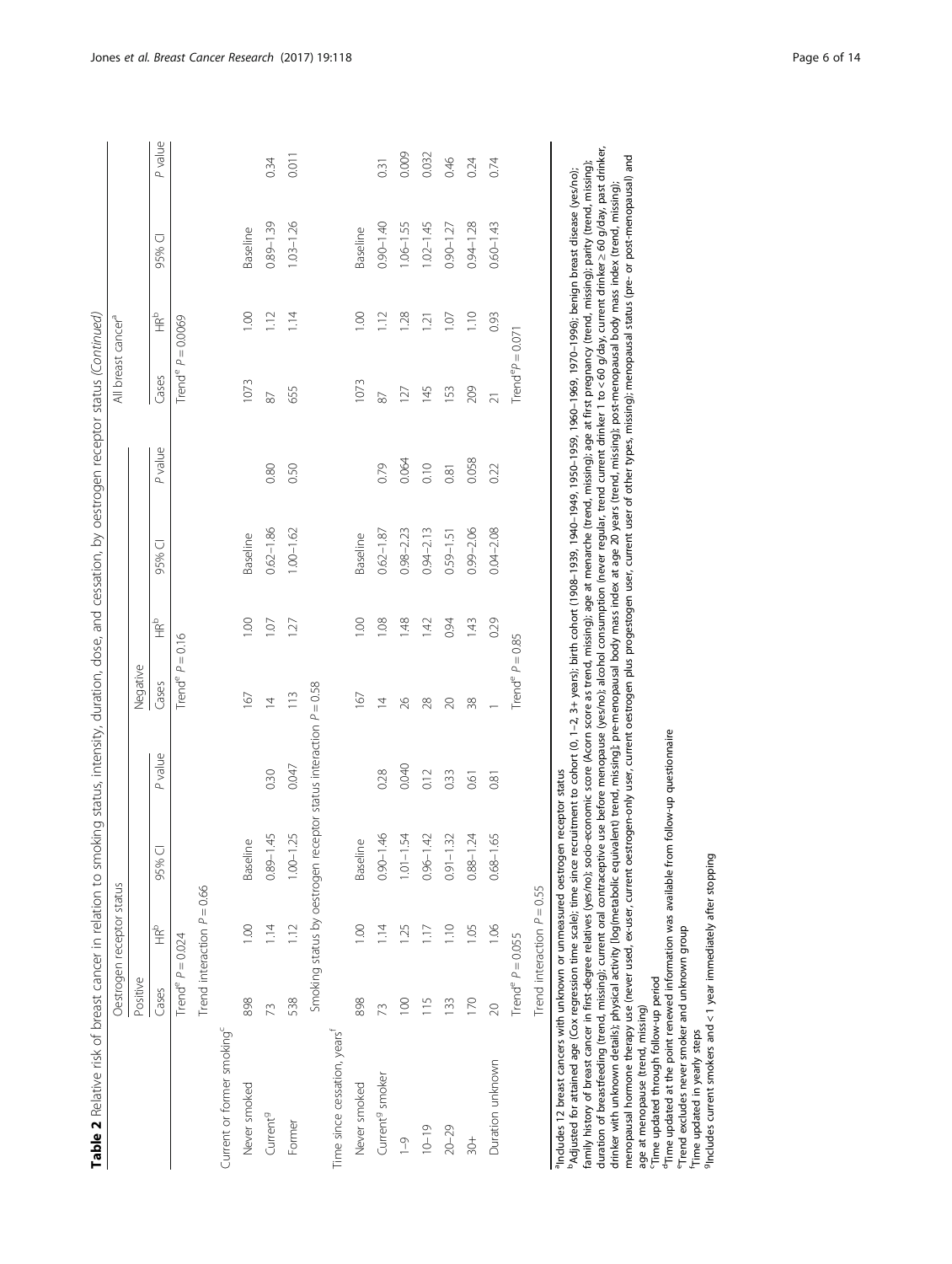| i<br>j<br>ï<br>١<br>١<br>ļ<br>í<br>١<br>$\tilde{\zeta}$<br>ï                                 |
|----------------------------------------------------------------------------------------------|
| ļ<br>١<br>$\frac{1}{2}$<br>ï<br>٦<br>j                                                       |
| j<br>$\tilde{\epsilon}$<br>j<br>ś<br>J<br>i<br>ļ<br>ł<br>j<br>I<br>ׇ֘֝֬֝<br>I<br>۱<br>ì<br>ï |
| j<br>d<br>$\mathbf{1}$<br>i<br>5<br>ì<br>ׇ֘֒<br>j<br>ğ<br>l<br>١                             |
| ć<br>Į                                                                                       |
| ţ<br>I<br>١<br>ī<br>)<br>)<br>)<br>$\overline{\phantom{a}}$<br>1<br>j<br>j                   |
| ī<br>١<br>Š<br>ì<br>١                                                                        |
| d<br>i<br>,<br>$\ddot{\phantom{0}}$<br>í<br>į<br>j<br>7<br>ׇ֘֒<br>١                          |
| ١<br>Š<br>ì<br>Ï<br>١                                                                        |
| ī<br>5                                                                                       |
| É<br>í<br>i<br>$\overline{ }$<br>j<br>j<br>ā<br>£<br>۶<br>Í                                  |
| ì<br>í<br>ï<br>t<br>ś<br>ׇ֚֘֝֬<br>ï<br>١                                                     |
| j<br>1<br>I<br>;<br>j<br>I<br>í                                                              |
| l<br>١<br>I<br>)                                                                             |
| Ì<br>١<br>١<br>j<br>ć<br>i<br>j<br>Ó<br>1                                                    |
| Ì<br>$\ddot{\phantom{a}}$                                                                    |
| ā<br>S<br>ر<br>i<br>C<br>J                                                                   |
| l<br>٢<br>ׇ֚֓֡                                                                               |
|                                                                                              |
|                                                                                              |
| j<br>۱                                                                                       |
| j<br>I<br>ı                                                                                  |
| $\frac{a}{c}$                                                                                |
| ۱                                                                                            |

|                                                                            |                                | Oestrogen receptor status    |                                                                  |         |                               |                |               |         | All breast cancer <sup>a</sup>  |                                                                                                                                                                                                                                                                                                                                                                                                                                                                                          |               |         |
|----------------------------------------------------------------------------|--------------------------------|------------------------------|------------------------------------------------------------------|---------|-------------------------------|----------------|---------------|---------|---------------------------------|------------------------------------------------------------------------------------------------------------------------------------------------------------------------------------------------------------------------------------------------------------------------------------------------------------------------------------------------------------------------------------------------------------------------------------------------------------------------------------------|---------------|---------|
|                                                                            | Positive                       |                              |                                                                  |         | Negative                      |                |               |         |                                 |                                                                                                                                                                                                                                                                                                                                                                                                                                                                                          |               |         |
|                                                                            | Cases                          | 。<br>全                       | 95% CI                                                           | P value | Cases                         | $\frac{d}{dt}$ | 95% CI        | P value | Cases                           | $\mathop{\mathbb{E}}_{\mathop{\mathbb{E}}}^{\mathop{\mathbb{D}}}% \nolimits} \mathop{\mathbb{E}}_{\mathop{\mathbb{E}}\nolimits} \mathop{\mathbb{E}}_{\mathop{\mathbb{E}}\nolimits} \mathop{\mathbb{E}}_{\mathop{\mathbb{E}}\nolimits} \mathop{\mathbb{E}}_{\mathop{\mathbb{E}}\nolimits} \mathop{\mathbb{E}}_{\mathop{\mathbb{E}}\nolimits} \mathop{\mathbb{E}}_{\mathop{\mathbb{E}}\nolimits} \mathop{\mathbb{E}}_{\mathop{\mathbb{E}}\nolimits} \mathop{\mathbb{E}}_{\mathop{\mathbb{$ | 95% CI        | P value |
|                                                                            | Trend <sup>e</sup> $P = 0.024$ |                              |                                                                  |         | Trend <sup>e</sup> $P = 0.16$ |                |               |         | Trend <sup>e</sup> $P = 0.0069$ |                                                                                                                                                                                                                                                                                                                                                                                                                                                                                          |               |         |
|                                                                            |                                | Trend interaction $P = 0.66$ |                                                                  |         |                               |                |               |         |                                 |                                                                                                                                                                                                                                                                                                                                                                                                                                                                                          |               |         |
| Current or former smoking <sup>c</sup>                                     |                                |                              |                                                                  |         |                               |                |               |         |                                 |                                                                                                                                                                                                                                                                                                                                                                                                                                                                                          |               |         |
| Never smoked                                                               | 898                            | 1.00                         | <b>Baseline</b>                                                  |         | 167                           | 00.1           | Baseline      |         | 1073                            | 0.00                                                                                                                                                                                                                                                                                                                                                                                                                                                                                     | Baseline      |         |
| Current <sup>9</sup>                                                       | 73                             | 114                          | 45<br>$0.89 - 1$                                                 | 0.30    | $\overline{4}$                | 1.07           | $0.62 - 1.86$ | 0.80    | 87                              | 1.12                                                                                                                                                                                                                                                                                                                                                                                                                                                                                     | $0.89 - 1.39$ | 0.34    |
| Former                                                                     | 538                            | 112                          | 1.25<br>$1.00 - 1$                                               | 0.047   | 113                           | 127            | $1.00 - 1.62$ | 0.50    | 655                             | 1.14                                                                                                                                                                                                                                                                                                                                                                                                                                                                                     | $1.03 - 1.26$ | 0.011   |
|                                                                            |                                |                              | Smoking status by oestrogen receptor status interaction P = 0.58 |         |                               |                |               |         |                                 |                                                                                                                                                                                                                                                                                                                                                                                                                                                                                          |               |         |
| Time since cessation, years                                                |                                |                              |                                                                  |         |                               |                |               |         |                                 |                                                                                                                                                                                                                                                                                                                                                                                                                                                                                          |               |         |
| Never smoked                                                               | 898                            | 00.1                         | <b>Baseline</b>                                                  |         | 167                           | 1.00           | Baseline      |         | 1073                            | 1.00                                                                                                                                                                                                                                                                                                                                                                                                                                                                                     | Baseline      |         |
| Current <sup>9</sup> smoker                                                | 73                             | 14                           | $\frac{46}{5}$<br>$0.90 - 1$                                     | 0.28    | $\overline{4}$                | 1.08           | $0.62 - 1.87$ | 0.79    | 87                              | 1.12                                                                                                                                                                                                                                                                                                                                                                                                                                                                                     | $0.90 - 1.40$ | 0.31    |
| $-9$                                                                       | 100                            | 1.25                         | 54<br>$1.01 - 1$                                                 | 0.040   | 26                            | 1.48           | $0.98 - 2.23$ | 0.064   | 127                             | 1.28                                                                                                                                                                                                                                                                                                                                                                                                                                                                                     | $1.06 - 1.55$ | 0.009   |
| $10 - 19$                                                                  | 115                            | 1.17                         | 42<br>$0.96 - 1$                                                 | 0.12    | 28                            | 1.42           | $0.94 - 2.13$ | 0.10    | 145                             | 1.21                                                                                                                                                                                                                                                                                                                                                                                                                                                                                     | $1.02 - 1.45$ | 0.032   |
| $20 - 29$                                                                  | 133                            | 1.10                         | $\widetilde{\mathcal{Z}}$<br>$0.91 - 1$                          | 0.33    | $\approx$                     | 0.94           | $0.59 - 1.51$ | 0.81    | 153                             | 1.07                                                                                                                                                                                                                                                                                                                                                                                                                                                                                     | $0.90 - 1.27$ | 0.46    |
| $\frac{+}{50}$                                                             | 170                            | 1.05                         | $\dot{z}$<br>$0.88 - 1$                                          | 0.61    | 38                            | 1.43           | $0.99 - 2.06$ | 0.058   | 209                             | 1.10                                                                                                                                                                                                                                                                                                                                                                                                                                                                                     | $0.94 - 1.28$ | 0.24    |
| Duration unknown                                                           | $\infty$                       | 1.06                         | 65<br>$0.68 - 1$                                                 | 0.81    |                               | 0.29           | $0.04 - 2.08$ | 0.22    | $\overline{21}$                 | 0.93                                                                                                                                                                                                                                                                                                                                                                                                                                                                                     | $0.60 - 1.43$ | 0.74    |
|                                                                            | Trend <sup>e</sup> $P = 0.055$ |                              |                                                                  |         | Trend <sup>e</sup> $P = 0.85$ |                |               |         | Trend <sup>e</sup> $P = 0.071$  |                                                                                                                                                                                                                                                                                                                                                                                                                                                                                          |               |         |
|                                                                            |                                | Trend interaction $P = 0.55$ |                                                                  |         |                               |                |               |         |                                 |                                                                                                                                                                                                                                                                                                                                                                                                                                                                                          |               |         |
| anter and heart cancers with unknown or unmoscured occtronomicantor status |                                |                              |                                                                  |         |                               |                |               |         |                                 |                                                                                                                                                                                                                                                                                                                                                                                                                                                                                          |               |         |

aIncludes 12 breast cancers with unknown or unmeasured oestrogen receptor status suatus receptor ē na uaes

duration of breastfeeding (trend, missing); current oral contraceptive use before menopause (yes/no); alcohol consumption (never regular, trend current drinker 1 to < 60 g/day, current drinker; and sinds, past drinker,<br>dri duration of breastfeeding (trend, missing); current oral contraceptive use before menopause (yes/no); alcohol consumption (never regular, trend current drinker 1 to < 60 g/day, current drinker ≥ 60 g/day, past drinker, menopausal hormone therapy use (never used, ex-user, current oestrogen-only user, current oestrogen plus progestogen user, current user of other types, missing); menopausal status (pre- or post-menopausal) and family history of breast cancer in first-degree relatives (yes/no); socio-economic score (Acorn score as trend, missing); age at menarche (trend, missing); age at first pregnancy (trend, missing); parity (trend, missing); family history of breast cancer in first-degree relatives (yes/no); socio-economic score (Acorn score as trend, missing); age at menarche (trend, missing); age at first pregnancy (trend, missing); parity (trend, missing); Adjusted for attained age (Cox regression time scale); time since recruitment to cohort (0, 1–2, 3+ years); birth cohort (1908-1939, 1940-1949, 1950-1959, 1960-1969, 1970-1996); benign breast disease (yes/no); bAdjusted for attained age (Cox regression time scale); time since recruitment to cohort (0, 1–2, 3+ years); birth cohort (1908–1939, 1940–1949, 1950–1959, 1960–1969, 1970–1996); benign breast disease (yes/no); drinker with unknown details); physical activity [log(metabolic equivalent) trend, missing]; pre-menopausal body mass index at age 20 years (trend, missing); post-menopausal body mass index (trend, missing); age at menopause (trend, missing)<br>"Time updated through follow-up period age at menopause (trend, missing)

cTime updated through follow-up period

<sup>d</sup>Time updated at the point renewed information was available from follow-up questionnaire <sup>d</sup>Time updated at the point renewed information was available from follow-up questionnaire

"Trend excludes never smoker and unknown group eTrend excludes never smoker and unknown group

<sup>f</sup>Time updated in yearly steps fTime updated in yearly steps

 $9$ Includes current smokers and < 1 year immediately after stopping  $9$ Includes current smokers and  $< 1$  year immediately after stopping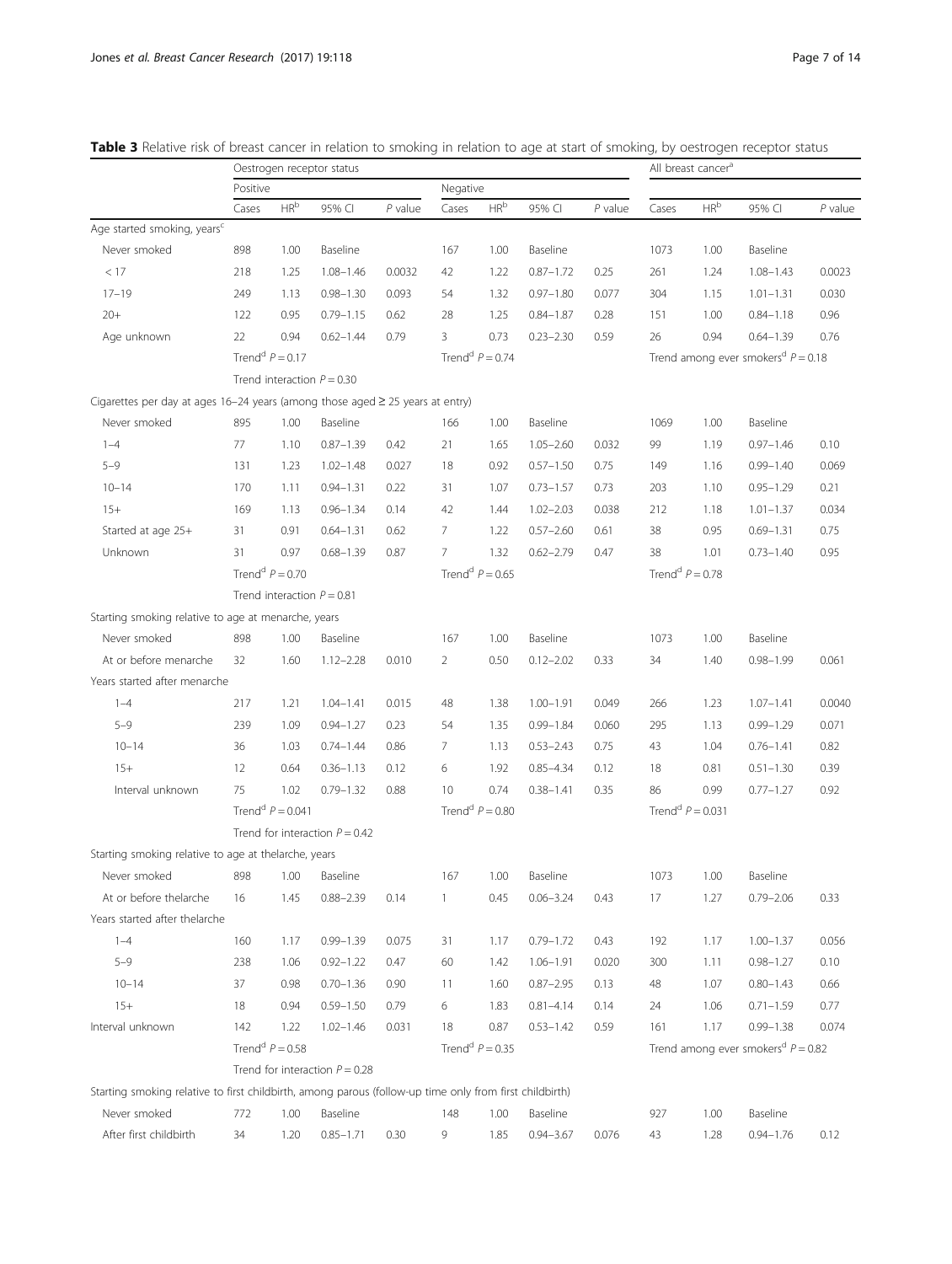| Negative<br>Positive<br>$\mathsf{HR}^{\mathsf{b}}$<br>HR <sup>b</sup><br>$\mathsf{HR}^{\mathsf{b}}$<br>$P$ value<br>$P$ value<br>95% CI<br>$P$ value<br>95% CI<br>Cases<br>95% CI<br>Cases<br>Cases<br>Age started smoking, years <sup>c</sup><br>Never smoked<br>898<br>1.00<br>Baseline<br>1.00<br>Baseline<br>1073<br>Baseline<br>167<br>1.00<br>< 17<br>$1.08 - 1.46$<br>0.0032<br>42<br>1.22<br>$0.87 - 1.72$<br>0.25<br>261<br>$1.08 - 1.43$<br>0.0023<br>218<br>1.25<br>1.24<br>$17 - 19$<br>$0.98 - 1.30$<br>0.093<br>1.32<br>$0.97 - 1.80$<br>304<br>0.030<br>249<br>1.13<br>54<br>0.077<br>1.15<br>$1.01 - 1.31$<br>0.96<br>$20+$<br>122<br>0.95<br>$0.79 - 1.15$<br>0.62<br>28<br>1.25<br>$0.84 - 1.87$<br>0.28<br>151<br>1.00<br>$0.84 - 1.18$<br>Age unknown<br>22<br>0.94<br>$0.62 - 1.44$<br>0.79<br>3<br>0.73<br>$0.23 - 2.30$<br>0.59<br>26<br>0.94<br>$0.64 - 1.39$<br>0.76<br>Trend <sup>d</sup> $P = 0.17$<br>Trend <sup>d</sup> $P = 0.74$<br>Trend among ever smokers <sup>d</sup> $P = 0.18$<br>Trend interaction $P = 0.30$<br>Cigarettes per day at ages 16-24 years (among those aged $\geq$ 25 years at entry)<br>Never smoked<br>895<br>1.00<br>Baseline<br>1.00<br>Baseline<br>1069<br>1.00<br>Baseline<br>166<br>$1 - 4$<br>77<br>1.10<br>$0.87 - 1.39$<br>0.42<br>21<br>1.65<br>$1.05 - 2.60$<br>0.032<br>99<br>$0.97 - 1.46$<br>0.10<br>1.19<br>$5 - 9$<br>0.92<br>$0.57 - 1.50$<br>$0.99 - 1.40$<br>0.069<br>131<br>1.23<br>$1.02 - 1.48$<br>0.027<br>18<br>0.75<br>149<br>1.16<br>203<br>0.21<br>$10 - 14$<br>170<br>1.11<br>$0.94 - 1.31$<br>0.22<br>31<br>1.07<br>$0.73 - 1.57$<br>0.73<br>1.10<br>$0.95 - 1.29$<br>$15+$<br>$0.96 - 1.34$<br>42<br>$1.02 - 2.03$<br>0.034<br>169<br>1.13<br>0.14<br>1.44<br>0.038<br>212<br>1.18<br>$1.01 - 1.37$<br>Started at age 25+<br>0.91<br>7<br>$0.57 - 2.60$<br>0.61<br>38<br>$0.69 - 1.31$<br>0.75<br>31<br>$0.64 - 1.31$<br>0.62<br>1.22<br>0.95<br>Unknown<br>31<br>0.97<br>$0.68 - 1.39$<br>0.87<br>1.32<br>$0.62 - 2.79$<br>38<br>0.95<br>7<br>0.47<br>1.01<br>$0.73 - 1.40$ |  |
|-----------------------------------------------------------------------------------------------------------------------------------------------------------------------------------------------------------------------------------------------------------------------------------------------------------------------------------------------------------------------------------------------------------------------------------------------------------------------------------------------------------------------------------------------------------------------------------------------------------------------------------------------------------------------------------------------------------------------------------------------------------------------------------------------------------------------------------------------------------------------------------------------------------------------------------------------------------------------------------------------------------------------------------------------------------------------------------------------------------------------------------------------------------------------------------------------------------------------------------------------------------------------------------------------------------------------------------------------------------------------------------------------------------------------------------------------------------------------------------------------------------------------------------------------------------------------------------------------------------------------------------------------------------------------------------------------------------------------------------------------------------------------------------------------------------------------------------------------------------------------------------------------------------------------------------------------------------------------------------------------------------------------------------------------------------------|--|
|                                                                                                                                                                                                                                                                                                                                                                                                                                                                                                                                                                                                                                                                                                                                                                                                                                                                                                                                                                                                                                                                                                                                                                                                                                                                                                                                                                                                                                                                                                                                                                                                                                                                                                                                                                                                                                                                                                                                                                                                                                                                 |  |
|                                                                                                                                                                                                                                                                                                                                                                                                                                                                                                                                                                                                                                                                                                                                                                                                                                                                                                                                                                                                                                                                                                                                                                                                                                                                                                                                                                                                                                                                                                                                                                                                                                                                                                                                                                                                                                                                                                                                                                                                                                                                 |  |
|                                                                                                                                                                                                                                                                                                                                                                                                                                                                                                                                                                                                                                                                                                                                                                                                                                                                                                                                                                                                                                                                                                                                                                                                                                                                                                                                                                                                                                                                                                                                                                                                                                                                                                                                                                                                                                                                                                                                                                                                                                                                 |  |
|                                                                                                                                                                                                                                                                                                                                                                                                                                                                                                                                                                                                                                                                                                                                                                                                                                                                                                                                                                                                                                                                                                                                                                                                                                                                                                                                                                                                                                                                                                                                                                                                                                                                                                                                                                                                                                                                                                                                                                                                                                                                 |  |
|                                                                                                                                                                                                                                                                                                                                                                                                                                                                                                                                                                                                                                                                                                                                                                                                                                                                                                                                                                                                                                                                                                                                                                                                                                                                                                                                                                                                                                                                                                                                                                                                                                                                                                                                                                                                                                                                                                                                                                                                                                                                 |  |
|                                                                                                                                                                                                                                                                                                                                                                                                                                                                                                                                                                                                                                                                                                                                                                                                                                                                                                                                                                                                                                                                                                                                                                                                                                                                                                                                                                                                                                                                                                                                                                                                                                                                                                                                                                                                                                                                                                                                                                                                                                                                 |  |
|                                                                                                                                                                                                                                                                                                                                                                                                                                                                                                                                                                                                                                                                                                                                                                                                                                                                                                                                                                                                                                                                                                                                                                                                                                                                                                                                                                                                                                                                                                                                                                                                                                                                                                                                                                                                                                                                                                                                                                                                                                                                 |  |
|                                                                                                                                                                                                                                                                                                                                                                                                                                                                                                                                                                                                                                                                                                                                                                                                                                                                                                                                                                                                                                                                                                                                                                                                                                                                                                                                                                                                                                                                                                                                                                                                                                                                                                                                                                                                                                                                                                                                                                                                                                                                 |  |
|                                                                                                                                                                                                                                                                                                                                                                                                                                                                                                                                                                                                                                                                                                                                                                                                                                                                                                                                                                                                                                                                                                                                                                                                                                                                                                                                                                                                                                                                                                                                                                                                                                                                                                                                                                                                                                                                                                                                                                                                                                                                 |  |
|                                                                                                                                                                                                                                                                                                                                                                                                                                                                                                                                                                                                                                                                                                                                                                                                                                                                                                                                                                                                                                                                                                                                                                                                                                                                                                                                                                                                                                                                                                                                                                                                                                                                                                                                                                                                                                                                                                                                                                                                                                                                 |  |
|                                                                                                                                                                                                                                                                                                                                                                                                                                                                                                                                                                                                                                                                                                                                                                                                                                                                                                                                                                                                                                                                                                                                                                                                                                                                                                                                                                                                                                                                                                                                                                                                                                                                                                                                                                                                                                                                                                                                                                                                                                                                 |  |
|                                                                                                                                                                                                                                                                                                                                                                                                                                                                                                                                                                                                                                                                                                                                                                                                                                                                                                                                                                                                                                                                                                                                                                                                                                                                                                                                                                                                                                                                                                                                                                                                                                                                                                                                                                                                                                                                                                                                                                                                                                                                 |  |
|                                                                                                                                                                                                                                                                                                                                                                                                                                                                                                                                                                                                                                                                                                                                                                                                                                                                                                                                                                                                                                                                                                                                                                                                                                                                                                                                                                                                                                                                                                                                                                                                                                                                                                                                                                                                                                                                                                                                                                                                                                                                 |  |
|                                                                                                                                                                                                                                                                                                                                                                                                                                                                                                                                                                                                                                                                                                                                                                                                                                                                                                                                                                                                                                                                                                                                                                                                                                                                                                                                                                                                                                                                                                                                                                                                                                                                                                                                                                                                                                                                                                                                                                                                                                                                 |  |
|                                                                                                                                                                                                                                                                                                                                                                                                                                                                                                                                                                                                                                                                                                                                                                                                                                                                                                                                                                                                                                                                                                                                                                                                                                                                                                                                                                                                                                                                                                                                                                                                                                                                                                                                                                                                                                                                                                                                                                                                                                                                 |  |
|                                                                                                                                                                                                                                                                                                                                                                                                                                                                                                                                                                                                                                                                                                                                                                                                                                                                                                                                                                                                                                                                                                                                                                                                                                                                                                                                                                                                                                                                                                                                                                                                                                                                                                                                                                                                                                                                                                                                                                                                                                                                 |  |
|                                                                                                                                                                                                                                                                                                                                                                                                                                                                                                                                                                                                                                                                                                                                                                                                                                                                                                                                                                                                                                                                                                                                                                                                                                                                                                                                                                                                                                                                                                                                                                                                                                                                                                                                                                                                                                                                                                                                                                                                                                                                 |  |
|                                                                                                                                                                                                                                                                                                                                                                                                                                                                                                                                                                                                                                                                                                                                                                                                                                                                                                                                                                                                                                                                                                                                                                                                                                                                                                                                                                                                                                                                                                                                                                                                                                                                                                                                                                                                                                                                                                                                                                                                                                                                 |  |
| Trend <sup>d</sup> $P = 0.70$<br>Trend <sup>d</sup> $P = 0.65$<br>Trend <sup>d</sup> $P = 0.78$                                                                                                                                                                                                                                                                                                                                                                                                                                                                                                                                                                                                                                                                                                                                                                                                                                                                                                                                                                                                                                                                                                                                                                                                                                                                                                                                                                                                                                                                                                                                                                                                                                                                                                                                                                                                                                                                                                                                                                 |  |
| Trend interaction $P = 0.81$                                                                                                                                                                                                                                                                                                                                                                                                                                                                                                                                                                                                                                                                                                                                                                                                                                                                                                                                                                                                                                                                                                                                                                                                                                                                                                                                                                                                                                                                                                                                                                                                                                                                                                                                                                                                                                                                                                                                                                                                                                    |  |
| Starting smoking relative to age at menarche, years                                                                                                                                                                                                                                                                                                                                                                                                                                                                                                                                                                                                                                                                                                                                                                                                                                                                                                                                                                                                                                                                                                                                                                                                                                                                                                                                                                                                                                                                                                                                                                                                                                                                                                                                                                                                                                                                                                                                                                                                             |  |
| Never smoked<br>1.00<br>Baseline<br>1.00<br>Baseline<br>1073<br>Baseline<br>898<br>167<br>1.00                                                                                                                                                                                                                                                                                                                                                                                                                                                                                                                                                                                                                                                                                                                                                                                                                                                                                                                                                                                                                                                                                                                                                                                                                                                                                                                                                                                                                                                                                                                                                                                                                                                                                                                                                                                                                                                                                                                                                                  |  |
| At or before menarche<br>32<br>1.60<br>0.50<br>34<br>$1.12 - 2.28$<br>0.010<br>2<br>$0.12 - 2.02$<br>0.33<br>1.40<br>$0.98 - 1.99$<br>0.061                                                                                                                                                                                                                                                                                                                                                                                                                                                                                                                                                                                                                                                                                                                                                                                                                                                                                                                                                                                                                                                                                                                                                                                                                                                                                                                                                                                                                                                                                                                                                                                                                                                                                                                                                                                                                                                                                                                     |  |
| Years started after menarche                                                                                                                                                                                                                                                                                                                                                                                                                                                                                                                                                                                                                                                                                                                                                                                                                                                                                                                                                                                                                                                                                                                                                                                                                                                                                                                                                                                                                                                                                                                                                                                                                                                                                                                                                                                                                                                                                                                                                                                                                                    |  |
| $1.00 - 1.91$<br>$1.07 - 1.41$<br>0.0040<br>$1 - 4$<br>217<br>1.21<br>$1.04 - 1.41$<br>0.015<br>48<br>1.38<br>0.049<br>266<br>1.23                                                                                                                                                                                                                                                                                                                                                                                                                                                                                                                                                                                                                                                                                                                                                                                                                                                                                                                                                                                                                                                                                                                                                                                                                                                                                                                                                                                                                                                                                                                                                                                                                                                                                                                                                                                                                                                                                                                              |  |
| $5 - 9$<br>239<br>1.09<br>$0.94 - 1.27$<br>0.23<br>1.35<br>$0.99 - 1.84$<br>295<br>$0.99 - 1.29$<br>0.071<br>54<br>0.060<br>1.13                                                                                                                                                                                                                                                                                                                                                                                                                                                                                                                                                                                                                                                                                                                                                                                                                                                                                                                                                                                                                                                                                                                                                                                                                                                                                                                                                                                                                                                                                                                                                                                                                                                                                                                                                                                                                                                                                                                                |  |
| $10 - 14$<br>43<br>0.82<br>36<br>1.03<br>$0.74 - 1.44$<br>0.86<br>7<br>1.13<br>$0.53 - 2.43$<br>0.75<br>1.04<br>$0.76 - 1.41$                                                                                                                                                                                                                                                                                                                                                                                                                                                                                                                                                                                                                                                                                                                                                                                                                                                                                                                                                                                                                                                                                                                                                                                                                                                                                                                                                                                                                                                                                                                                                                                                                                                                                                                                                                                                                                                                                                                                   |  |
| $15+$<br>12<br>0.64<br>$0.36 - 1.13$<br>0.12<br>1.92<br>$0.85 - 4.34$<br>0.12<br>18<br>$0.51 - 1.30$<br>0.39<br>6<br>0.81                                                                                                                                                                                                                                                                                                                                                                                                                                                                                                                                                                                                                                                                                                                                                                                                                                                                                                                                                                                                                                                                                                                                                                                                                                                                                                                                                                                                                                                                                                                                                                                                                                                                                                                                                                                                                                                                                                                                       |  |
| Interval unknown<br>75<br>1.02<br>$0.79 - 1.32$<br>0.88<br>0.74<br>$0.38 - 1.41$<br>0.35<br>86<br>0.99<br>$0.77 - 1.27$<br>0.92<br>10                                                                                                                                                                                                                                                                                                                                                                                                                                                                                                                                                                                                                                                                                                                                                                                                                                                                                                                                                                                                                                                                                                                                                                                                                                                                                                                                                                                                                                                                                                                                                                                                                                                                                                                                                                                                                                                                                                                           |  |
| Trend <sup>d</sup> $P = 0.041$<br>Trend <sup>d</sup> $P = 0.80$<br>Trend <sup>d</sup> $P = 0.031$                                                                                                                                                                                                                                                                                                                                                                                                                                                                                                                                                                                                                                                                                                                                                                                                                                                                                                                                                                                                                                                                                                                                                                                                                                                                                                                                                                                                                                                                                                                                                                                                                                                                                                                                                                                                                                                                                                                                                               |  |
| Trend for interaction $P = 0.42$                                                                                                                                                                                                                                                                                                                                                                                                                                                                                                                                                                                                                                                                                                                                                                                                                                                                                                                                                                                                                                                                                                                                                                                                                                                                                                                                                                                                                                                                                                                                                                                                                                                                                                                                                                                                                                                                                                                                                                                                                                |  |
| Starting smoking relative to age at thelarche, years                                                                                                                                                                                                                                                                                                                                                                                                                                                                                                                                                                                                                                                                                                                                                                                                                                                                                                                                                                                                                                                                                                                                                                                                                                                                                                                                                                                                                                                                                                                                                                                                                                                                                                                                                                                                                                                                                                                                                                                                            |  |
| Never smoked<br>898<br>1.00<br>Baseline<br>167<br>1.00<br>Baseline<br>1073<br>1.00<br>Baseline                                                                                                                                                                                                                                                                                                                                                                                                                                                                                                                                                                                                                                                                                                                                                                                                                                                                                                                                                                                                                                                                                                                                                                                                                                                                                                                                                                                                                                                                                                                                                                                                                                                                                                                                                                                                                                                                                                                                                                  |  |
| At or before thelarche<br>1.45<br>$0.88 - 2.39$<br>0.14<br>0.45<br>$0.06 - 3.24$<br>17<br>$0.79 - 2.06$<br>0.33<br>16<br>1<br>0.43<br>1.27                                                                                                                                                                                                                                                                                                                                                                                                                                                                                                                                                                                                                                                                                                                                                                                                                                                                                                                                                                                                                                                                                                                                                                                                                                                                                                                                                                                                                                                                                                                                                                                                                                                                                                                                                                                                                                                                                                                      |  |
| Years started after thelarche                                                                                                                                                                                                                                                                                                                                                                                                                                                                                                                                                                                                                                                                                                                                                                                                                                                                                                                                                                                                                                                                                                                                                                                                                                                                                                                                                                                                                                                                                                                                                                                                                                                                                                                                                                                                                                                                                                                                                                                                                                   |  |
| $0.99 - 1.39$<br>$0.79 - 1.72$<br>$1.00 - 1.37$<br>$1 - 4$<br>160<br>1.17<br>0.075<br>31<br>1.17<br>0.43<br>192<br>1.17<br>0.056                                                                                                                                                                                                                                                                                                                                                                                                                                                                                                                                                                                                                                                                                                                                                                                                                                                                                                                                                                                                                                                                                                                                                                                                                                                                                                                                                                                                                                                                                                                                                                                                                                                                                                                                                                                                                                                                                                                                |  |
| $5 - 9$<br>238<br>$0.92 - 1.22$<br>$1.06 - 1.91$<br>$0.98 - 1.27$<br>0.10<br>1.06<br>0.47<br>60<br>1.42<br>0.020<br>300<br>1.11                                                                                                                                                                                                                                                                                                                                                                                                                                                                                                                                                                                                                                                                                                                                                                                                                                                                                                                                                                                                                                                                                                                                                                                                                                                                                                                                                                                                                                                                                                                                                                                                                                                                                                                                                                                                                                                                                                                                 |  |
| $10 - 14$<br>37<br>0.98<br>$0.70 - 1.36$<br>0.90<br>11<br>1.60<br>$0.87 - 2.95$<br>0.13<br>48<br>1.07<br>$0.80 - 1.43$<br>0.66                                                                                                                                                                                                                                                                                                                                                                                                                                                                                                                                                                                                                                                                                                                                                                                                                                                                                                                                                                                                                                                                                                                                                                                                                                                                                                                                                                                                                                                                                                                                                                                                                                                                                                                                                                                                                                                                                                                                  |  |
| $15+$<br>0.77<br>18<br>0.94<br>$0.59 - 1.50$<br>0.79<br>6<br>1.83<br>$0.81 - 4.14$<br>0.14<br>24<br>1.06<br>$0.71 - 1.59$                                                                                                                                                                                                                                                                                                                                                                                                                                                                                                                                                                                                                                                                                                                                                                                                                                                                                                                                                                                                                                                                                                                                                                                                                                                                                                                                                                                                                                                                                                                                                                                                                                                                                                                                                                                                                                                                                                                                       |  |
| Interval unknown<br>142<br>1.22<br>$1.02 - 1.46$<br>0.031<br>18<br>0.87<br>$0.53 - 1.42$<br>0.59<br>161<br>1.17<br>$0.99 - 1.38$<br>0.074                                                                                                                                                                                                                                                                                                                                                                                                                                                                                                                                                                                                                                                                                                                                                                                                                                                                                                                                                                                                                                                                                                                                                                                                                                                                                                                                                                                                                                                                                                                                                                                                                                                                                                                                                                                                                                                                                                                       |  |
| Trend <sup>d</sup> $P = 0.58$<br>Trend <sup>d</sup> $P = 0.35$<br>Trend among ever smokers <sup>d</sup> $P = 0.82$                                                                                                                                                                                                                                                                                                                                                                                                                                                                                                                                                                                                                                                                                                                                                                                                                                                                                                                                                                                                                                                                                                                                                                                                                                                                                                                                                                                                                                                                                                                                                                                                                                                                                                                                                                                                                                                                                                                                              |  |
| Trend for interaction $P = 0.28$                                                                                                                                                                                                                                                                                                                                                                                                                                                                                                                                                                                                                                                                                                                                                                                                                                                                                                                                                                                                                                                                                                                                                                                                                                                                                                                                                                                                                                                                                                                                                                                                                                                                                                                                                                                                                                                                                                                                                                                                                                |  |
| Starting smoking relative to first childbirth, among parous (follow-up time only from first childbirth)                                                                                                                                                                                                                                                                                                                                                                                                                                                                                                                                                                                                                                                                                                                                                                                                                                                                                                                                                                                                                                                                                                                                                                                                                                                                                                                                                                                                                                                                                                                                                                                                                                                                                                                                                                                                                                                                                                                                                         |  |
| Never smoked<br>772<br>148<br>Baseline<br>Baseline<br>1.00<br>Baseline<br>1.00<br>927<br>1.00                                                                                                                                                                                                                                                                                                                                                                                                                                                                                                                                                                                                                                                                                                                                                                                                                                                                                                                                                                                                                                                                                                                                                                                                                                                                                                                                                                                                                                                                                                                                                                                                                                                                                                                                                                                                                                                                                                                                                                   |  |
| After first childbirth<br>34<br>0.30<br>9<br>1.85<br>$0.94 - 3.67$<br>0.076<br>$0.94 - 1.76$<br>0.12<br>1.20<br>$0.85 - 1.71$<br>43<br>1.28                                                                                                                                                                                                                                                                                                                                                                                                                                                                                                                                                                                                                                                                                                                                                                                                                                                                                                                                                                                                                                                                                                                                                                                                                                                                                                                                                                                                                                                                                                                                                                                                                                                                                                                                                                                                                                                                                                                     |  |

#### <span id="page-6-0"></span>Table 3 Relative risk of breast cancer in relation to smoking in relation to age at start of smoking, by oestrogen receptor status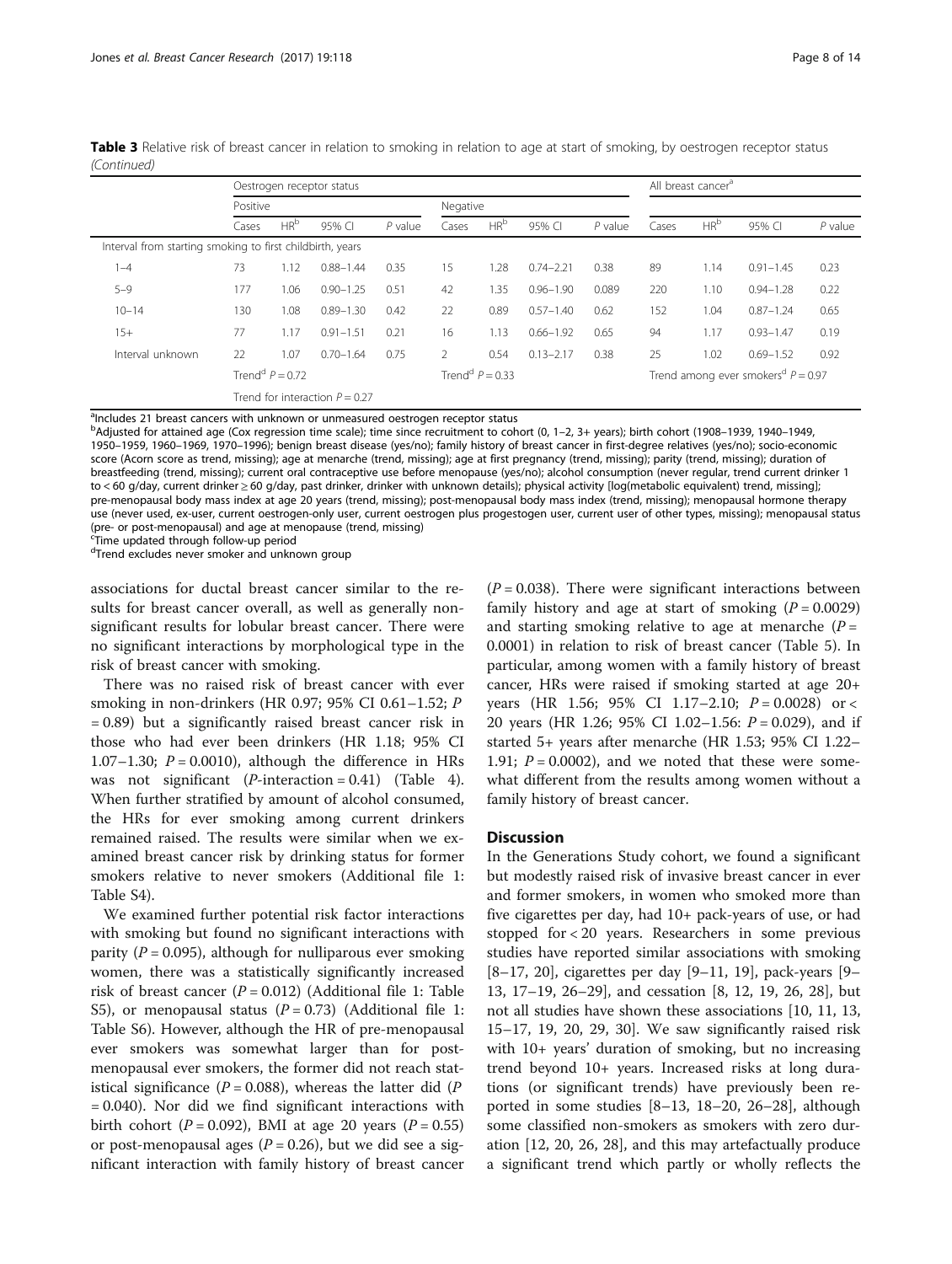|                                                           |          |                               | Oestrogen receptor status        |           |               |                               |               |           |       | All breast cancer <sup>a</sup> |                                                  |           |
|-----------------------------------------------------------|----------|-------------------------------|----------------------------------|-----------|---------------|-------------------------------|---------------|-----------|-------|--------------------------------|--------------------------------------------------|-----------|
|                                                           | Positive |                               |                                  |           | Negative      |                               |               |           |       |                                |                                                  |           |
|                                                           | Cases    | HR <sup>b</sup>               | 95% CI                           | $P$ value | Cases         | HR <sup>b</sup>               | 95% CI        | $P$ value | Cases | HR <sup>b</sup>                | 95% CI                                           | $P$ value |
| Interval from starting smoking to first childbirth, years |          |                               |                                  |           |               |                               |               |           |       |                                |                                                  |           |
| 1-4                                                       | 73       | 1.12                          | $0.88 - 1.44$                    | 0.35      | 15            | 1.28                          | $0.74 - 2.21$ | 0.38      | 89    | 1.14                           | $0.91 - 1.45$                                    | 0.23      |
| $5 - 9$                                                   | 177      | 1.06                          | $0.90 - 1.25$                    | 0.51      | 42            | 1.35                          | $0.96 - 1.90$ | 0.089     | 220   | 1.10                           | $0.94 - 1.28$                                    | 0.22      |
| $10 - 14$                                                 | 130      | 1.08                          | $0.89 - 1.30$                    | 0.42      | 22            | 0.89                          | $0.57 - 1.40$ | 0.62      | 152   | 1.04                           | $0.87 - 1.24$                                    | 0.65      |
| $15+$                                                     | 77       | 1.17                          | $0.91 - 1.51$                    | 0.21      | 16            | 1.13                          | $0.66 - 1.92$ | 0.65      | 94    | 1.17                           | $0.93 - 1.47$                                    | 0.19      |
| Interval unknown                                          | 22       | 1.07                          | $0.70 - 1.64$                    | 0.75      | $\mathcal{P}$ | 0.54                          | $0.13 - 2.17$ | 0.38      | 25    | 1.02                           | $0.69 - 1.52$                                    | 0.92      |
|                                                           |          | Trend <sup>d</sup> $P = 0.72$ |                                  |           |               | Trend <sup>d</sup> $P = 0.33$ |               |           |       |                                | Trend among ever smokers <sup>d</sup> $P = 0.97$ |           |
|                                                           |          |                               | Trend for interaction $P = 0.27$ |           |               |                               |               |           |       |                                |                                                  |           |

Table 3 Relative risk of breast cancer in relation to smoking in relation to age at start of smoking, by oestrogen receptor status (Continued)

alncludes 21 breast cancers with unknown or unmeasured oestrogen receptor status

b Adjusted for attained age (Cox regression time scale); time since recruitment to cohort (0, 1–2, 3+ years); birth cohort (1908–1939, 1940–1949, 1950–1959, 1960–1969, 1970–1996); benign breast disease (yes/no); family history of breast cancer in first-degree relatives (yes/no); socio-economic score (Acorn score as trend, missing); age at menarche (trend, missing); age at first pregnancy (trend, missing); parity (trend, missing); duration of breastfeeding (trend, missing); current oral contraceptive use before menopause (yes/no); alcohol consumption (never regular, trend current drinker 1 to < 60 g/day, current drinker ≥ 60 g/day, past drinker, drinker with unknown details); physical activity [log(metabolic equivalent) trend, missing]; pre-menopausal body mass index at age 20 years (trend, missing); post-menopausal body mass index (trend, missing); menopausal hormone therapy use (never used, ex-user, current oestrogen-only user, current oestrogen plus progestogen user, current user of other types, missing); menopausal status (pre- or post-menopausal) and age at menopause (trend, missing)

c Time updated through follow-up period

dTrend excludes never smoker and unknown group

associations for ductal breast cancer similar to the results for breast cancer overall, as well as generally nonsignificant results for lobular breast cancer. There were no significant interactions by morphological type in the risk of breast cancer with smoking.

There was no raised risk of breast cancer with ever smoking in non-drinkers (HR 0.97; 95% CI 0.61–1.52; P = 0.89) but a significantly raised breast cancer risk in those who had ever been drinkers (HR 1.18; 95% CI 1.07–1.30;  $P = 0.0010$ ), although the difference in HRs was not significant  $(P\text{-}interaction = 0.41)$  (Table [4](#page-8-0)). When further stratified by amount of alcohol consumed, the HRs for ever smoking among current drinkers remained raised. The results were similar when we examined breast cancer risk by drinking status for former smokers relative to never smokers (Additional file [1](#page-11-0): Table S4).

We examined further potential risk factor interactions with smoking but found no significant interactions with parity ( $P = 0.095$ ), although for nulliparous ever smoking women, there was a statistically significantly increased risk of breast cancer ( $P = 0.012$ ) (Additional file [1:](#page-11-0) Table S5), or menopausal status  $(P = 0.73)$  (Additional file [1](#page-11-0): Table S6). However, although the HR of pre-menopausal ever smokers was somewhat larger than for postmenopausal ever smokers, the former did not reach statistical significance ( $P = 0.088$ ), whereas the latter did ( $P$ = 0.040). Nor did we find significant interactions with birth cohort ( $P = 0.092$ ), BMI at age 20 years ( $P = 0.55$ ) or post-menopausal ages ( $P = 0.26$ ), but we did see a significant interaction with family history of breast cancer

 $(P = 0.038)$ . There were significant interactions between family history and age at start of smoking  $(P = 0.0029)$ and starting smoking relative to age at menarche  $(P =$ 0.0001) in relation to risk of breast cancer (Table [5\)](#page-9-0). In particular, among women with a family history of breast cancer, HRs were raised if smoking started at age 20+ years (HR 1.56; 95% CI 1.17–2.10;  $P = 0.0028$ ) or < 20 years (HR 1.26; 95% CI 1.02-1.56:  $P = 0.029$ ), and if started 5+ years after menarche (HR 1.53; 95% CI 1.22– 1.91;  $P = 0.0002$ ), and we noted that these were somewhat different from the results among women without a family history of breast cancer.

#### **Discussion**

In the Generations Study cohort, we found a significant but modestly raised risk of invasive breast cancer in ever and former smokers, in women who smoked more than five cigarettes per day, had 10+ pack-years of use, or had stopped for < 20 years. Researchers in some previous studies have reported similar associations with smoking [[8](#page-12-0)–[17, 20](#page-12-0)], cigarettes per day [[9](#page-12-0)–[11, 19](#page-12-0)], pack-years [[9](#page-12-0)– [13, 17](#page-12-0)–[19, 26](#page-12-0)–[29](#page-12-0)], and cessation [[8, 12](#page-12-0), [19, 26](#page-12-0), [28](#page-12-0)], but not all studies have shown these associations [\[10](#page-12-0), [11](#page-12-0), [13](#page-12-0), [15](#page-12-0)–[17](#page-12-0), [19, 20, 29, 30](#page-12-0)]. We saw significantly raised risk with 10+ years' duration of smoking, but no increasing trend beyond 10+ years. Increased risks at long durations (or significant trends) have previously been reported in some studies [[8](#page-12-0)–[13, 18](#page-12-0)–[20](#page-12-0), [26](#page-12-0)–[28](#page-12-0)], although some classified non-smokers as smokers with zero duration [[12, 20, 26, 28](#page-12-0)], and this may artefactually produce a significant trend which partly or wholly reflects the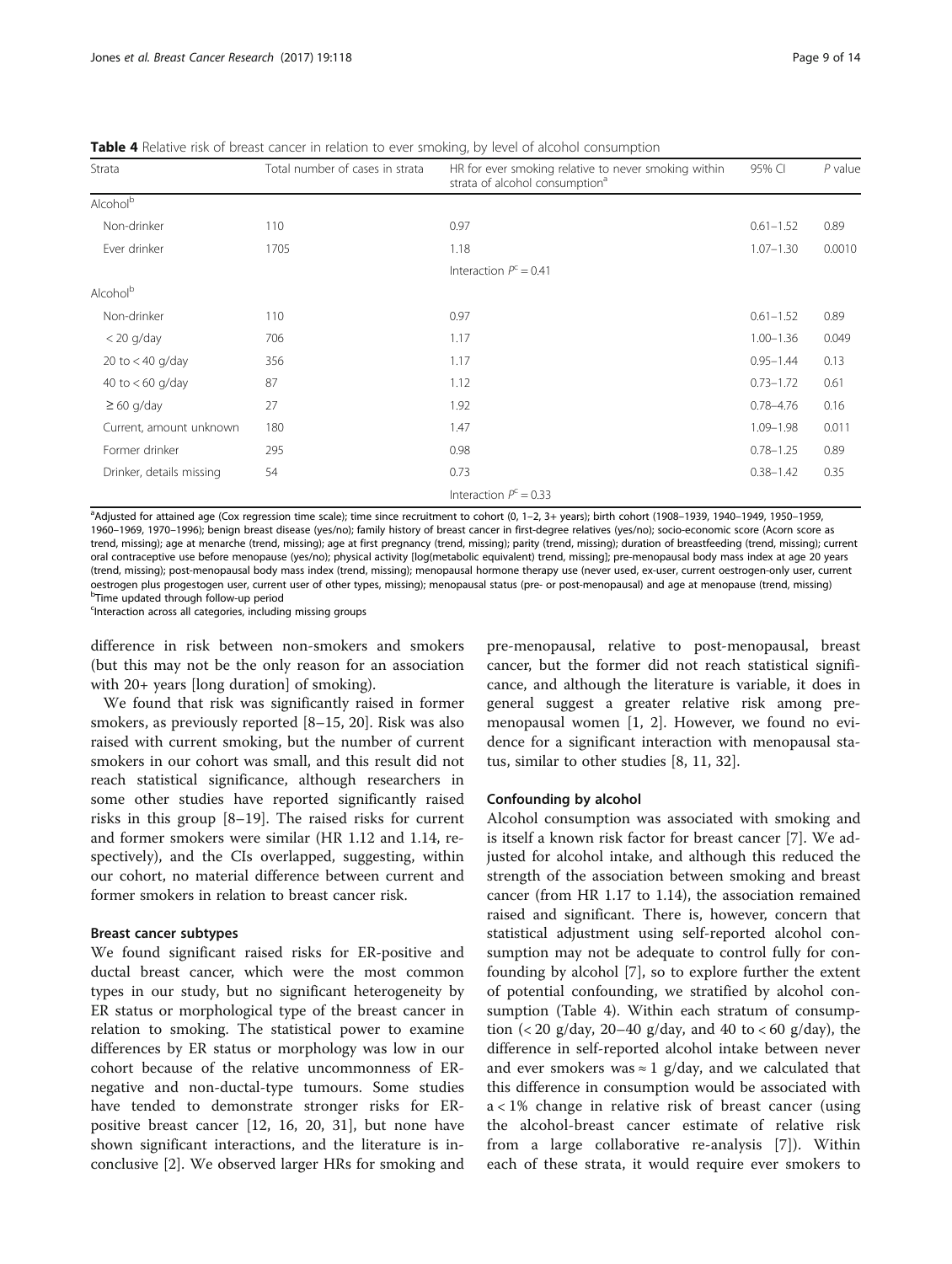| Strata                   | Total number of cases in strata | HR for ever smoking relative to never smoking within<br>strata of alcohol consumption <sup>a</sup> | 95% CI        | $P$ value |
|--------------------------|---------------------------------|----------------------------------------------------------------------------------------------------|---------------|-----------|
| Alcohol <sup>b</sup>     |                                 |                                                                                                    |               |           |
| Non-drinker              | 110                             | 0.97                                                                                               | $0.61 - 1.52$ | 0.89      |
| Ever drinker             | 1705                            | 1.18                                                                                               | $1.07 - 1.30$ | 0.0010    |
|                          |                                 | Interaction $P^c = 0.41$                                                                           |               |           |
| Alcohol <sup>b</sup>     |                                 |                                                                                                    |               |           |
| Non-drinker              | 110                             | 0.97                                                                                               | $0.61 - 1.52$ | 0.89      |
| $<$ 20 g/day             | 706                             | 1.17                                                                                               | $1.00 - 1.36$ | 0.049     |
| 20 to $<$ 40 g/day       | 356                             | 1.17                                                                                               | $0.95 - 1.44$ | 0.13      |
| 40 to $< 60$ g/day       | 87                              | 1.12                                                                                               | $0.73 - 1.72$ | 0.61      |
| $\geq 60$ g/day          | 27                              | 1.92                                                                                               | $0.78 - 4.76$ | 0.16      |
| Current, amount unknown  | 180                             | 1.47                                                                                               | $1.09 - 1.98$ | 0.011     |
| Former drinker           | 295                             | 0.98                                                                                               | $0.78 - 1.25$ | 0.89      |
| Drinker, details missing | 54                              | 0.73                                                                                               | $0.38 - 1.42$ | 0.35      |
|                          |                                 | Interaction $P^c = 0.33$                                                                           |               |           |

<span id="page-8-0"></span>**Table 4** Relative risk of breast cancer in relation to ever smoking, by level of alcohol consumption

a Adjusted for attained age (Cox regression time scale); time since recruitment to cohort (0, 1–2, 3+ years); birth cohort (1908–1939, 1940–1949, 1950–1959, 1960–1969, 1970–1996); benign breast disease (yes/no); family history of breast cancer in first-degree relatives (yes/no); socio-economic score (Acorn score as trend, missing); age at menarche (trend, missing); age at first pregnancy (trend, missing); parity (trend, missing); duration of breastfeeding (trend, missing); current oral contraceptive use before menopause (yes/no); physical activity [log(metabolic equivalent) trend, missing]; pre-menopausal body mass index at age 20 years (trend, missing); post-menopausal body mass index (trend, missing); menopausal hormone therapy use (never used, ex-user, current oestrogen-only user, current oestrogen plus progestogen user, current user of other types, missing); menopausal status (pre- or post-menopausal) and age at menopause (trend, missing) <sup>b</sup> <sup>b</sup>Time updated through follow-up period

Interaction across all categories, including missing groups<sup>c</sup>

difference in risk between non-smokers and smokers (but this may not be the only reason for an association with 20+ years [long duration] of smoking).

We found that risk was significantly raised in former smokers, as previously reported [[8](#page-12-0)–[15](#page-12-0), [20](#page-12-0)]. Risk was also raised with current smoking, but the number of current smokers in our cohort was small, and this result did not reach statistical significance, although researchers in some other studies have reported significantly raised risks in this group [[8](#page-12-0)–[19](#page-12-0)]. The raised risks for current and former smokers were similar (HR 1.12 and 1.14, respectively), and the CIs overlapped, suggesting, within our cohort, no material difference between current and former smokers in relation to breast cancer risk.

#### Breast cancer subtypes

We found significant raised risks for ER-positive and ductal breast cancer, which were the most common types in our study, but no significant heterogeneity by ER status or morphological type of the breast cancer in relation to smoking. The statistical power to examine differences by ER status or morphology was low in our cohort because of the relative uncommonness of ERnegative and non-ductal-type tumours. Some studies have tended to demonstrate stronger risks for ERpositive breast cancer [\[12](#page-12-0), [16](#page-12-0), [20, 31\]](#page-12-0), but none have shown significant interactions, and the literature is inconclusive [\[2](#page-12-0)]. We observed larger HRs for smoking and

pre-menopausal, relative to post-menopausal, breast cancer, but the former did not reach statistical significance, and although the literature is variable, it does in general suggest a greater relative risk among premenopausal women [[1](#page-12-0), [2](#page-12-0)]. However, we found no evidence for a significant interaction with menopausal status, similar to other studies [\[8, 11, 32\]](#page-12-0).

#### Confounding by alcohol

Alcohol consumption was associated with smoking and is itself a known risk factor for breast cancer [[7\]](#page-12-0). We adjusted for alcohol intake, and although this reduced the strength of the association between smoking and breast cancer (from HR 1.17 to 1.14), the association remained raised and significant. There is, however, concern that statistical adjustment using self-reported alcohol consumption may not be adequate to control fully for confounding by alcohol [[7\]](#page-12-0), so to explore further the extent of potential confounding, we stratified by alcohol consumption (Table 4). Within each stratum of consumption (< 20 g/day, 20–40 g/day, and 40 to < 60 g/day), the difference in self-reported alcohol intake between never and ever smokers was  $\approx 1$  g/day, and we calculated that this difference in consumption would be associated with a < 1% change in relative risk of breast cancer (using the alcohol-breast cancer estimate of relative risk from a large collaborative re-analysis [[7\]](#page-12-0)). Within each of these strata, it would require ever smokers to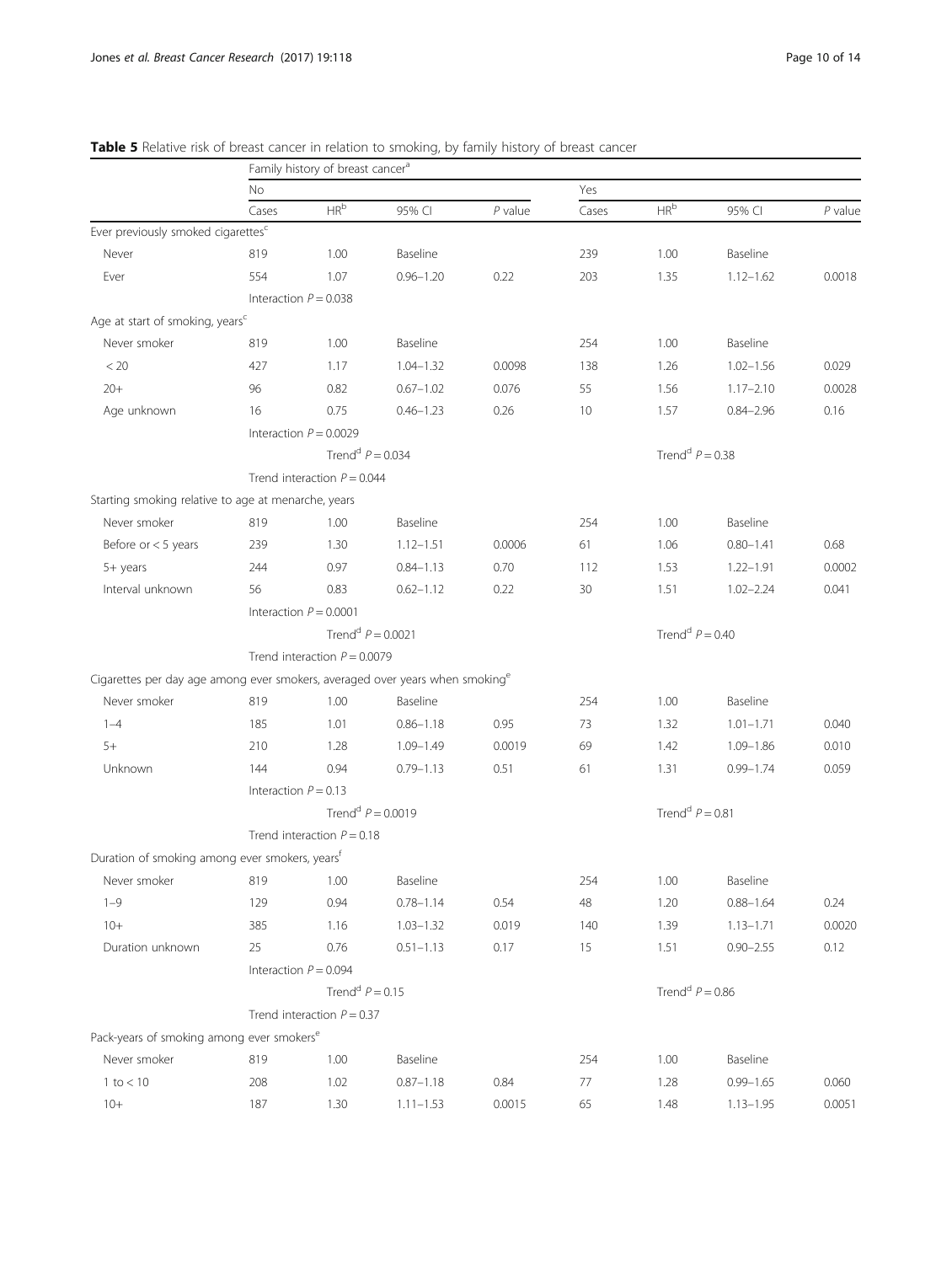|                                                                                          |                        | Family history of breast cancer <sup>a</sup> |               |           |        |                               |                               |           |  |
|------------------------------------------------------------------------------------------|------------------------|----------------------------------------------|---------------|-----------|--------|-------------------------------|-------------------------------|-----------|--|
|                                                                                          | <b>No</b>              |                                              |               |           | Yes    |                               |                               |           |  |
|                                                                                          | Cases                  | $\mathsf{HR}^{\mathsf{b}}$                   | 95% CI        | $P$ value | Cases  | HR <sup>b</sup>               | 95% CI                        | $P$ value |  |
| Ever previously smoked cigarettes <sup>c</sup>                                           |                        |                                              |               |           |        |                               |                               |           |  |
| Never                                                                                    | 819                    | 1.00                                         | Baseline      |           | 239    | 1.00                          | Baseline                      |           |  |
| Ever                                                                                     | 554                    | 1.07                                         | $0.96 - 1.20$ | 0.22      | 203    | 1.35                          | $1.12 - 1.62$                 | 0.0018    |  |
|                                                                                          |                        | Interaction $P = 0.038$                      |               |           |        |                               |                               |           |  |
| Age at start of smoking, years <sup>c</sup>                                              |                        |                                              |               |           |        |                               |                               |           |  |
| Never smoker                                                                             | 819                    | 1.00                                         | Baseline      |           | 254    | 1.00                          | Baseline                      |           |  |
| < 20                                                                                     | 427                    | 1.17                                         | $1.04 - 1.32$ | 0.0098    | 138    | 1.26                          | $1.02 - 1.56$                 | 0.029     |  |
| $20+$                                                                                    | 96                     | 0.82                                         | $0.67 - 1.02$ | 0.076     | 55     | 1.56                          | $1.17 - 2.10$                 | 0.0028    |  |
| Age unknown                                                                              | 16                     | 0.75                                         | $0.46 - 1.23$ | 0.26      | 10     | 1.57                          | $0.84 - 2.96$                 | 0.16      |  |
|                                                                                          |                        | Interaction $P = 0.0029$                     |               |           |        |                               |                               |           |  |
|                                                                                          |                        | Trend <sup>d</sup> $P = 0.034$               |               |           |        | Trend <sup>d</sup> $P = 0.38$ |                               |           |  |
|                                                                                          |                        | Trend interaction $P = 0.044$                |               |           |        |                               |                               |           |  |
| Starting smoking relative to age at menarche, years                                      |                        |                                              |               |           |        |                               |                               |           |  |
| Never smoker                                                                             | 819                    | 1.00                                         | Baseline      |           | 254    | 1.00                          | Baseline                      |           |  |
| Before or $<$ 5 years                                                                    | 239                    | 1.30                                         | $1.12 - 1.51$ | 0.0006    | 61     | 1.06                          | $0.80 - 1.41$                 | 0.68      |  |
| 5+ years                                                                                 | 244                    | 0.97                                         | $0.84 - 1.13$ | 0.70      | 112    | 1.53                          | $1.22 - 1.91$                 | 0.0002    |  |
| Interval unknown                                                                         | 56                     | 0.83                                         | $0.62 - 1.12$ | 0.22      | 30     | 1.51                          | $1.02 - 2.24$                 | 0.041     |  |
|                                                                                          |                        | Interaction $P = 0.0001$                     |               |           |        |                               |                               |           |  |
|                                                                                          |                        | Trend <sup>d</sup> $P = 0.0021$              |               |           |        |                               | Trend <sup>d</sup> $P = 0.40$ |           |  |
|                                                                                          |                        | Trend interaction $P = 0.0079$               |               |           |        |                               |                               |           |  |
| Cigarettes per day age among ever smokers, averaged over years when smoking <sup>e</sup> |                        |                                              |               |           |        |                               |                               |           |  |
| Never smoker                                                                             | 819                    | 1.00                                         | Baseline      |           | 254    | 1.00                          | Baseline                      |           |  |
| $1 - 4$                                                                                  | 185                    | 1.01                                         | $0.86 - 1.18$ | 0.95      | 73     | 1.32                          | $1.01 - 1.71$                 | 0.040     |  |
| $5+$                                                                                     | 210                    | 1.28                                         | $1.09 - 1.49$ | 0.0019    | 69     | 1.42                          | $1.09 - 1.86$                 | 0.010     |  |
| Unknown                                                                                  | 144                    | 0.94                                         | $0.79 - 1.13$ | 0.51      | 61     | 1.31                          | $0.99 - 1.74$                 | 0.059     |  |
|                                                                                          | Interaction $P = 0.13$ |                                              |               |           |        |                               |                               |           |  |
|                                                                                          |                        | Trend <sup>d</sup> $P = 0.0019$              |               |           |        |                               | Trend <sup>d</sup> $P = 0.81$ |           |  |
|                                                                                          |                        | Trend interaction $P = 0.18$                 |               |           |        |                               |                               |           |  |
| Duration of smoking among ever smokers, years <sup>f</sup>                               |                        |                                              |               |           |        |                               |                               |           |  |
| Never smoker                                                                             | 819                    | 1.00                                         | Baseline      |           | 254    | 1.00                          | Baseline                      |           |  |
| $1 - 9$                                                                                  | 129                    | 0.94                                         | $0.78 - 1.14$ | 0.54      | $48\,$ | 1.20                          | $0.88 - 1.64$                 | 0.24      |  |
| $10+$                                                                                    | 385                    | 1.16                                         | $1.03 - 1.32$ | 0.019     | 140    | 1.39                          | $1.13 - 1.71$                 | 0.0020    |  |
| Duration unknown                                                                         | 25                     | 0.76                                         | $0.51 - 1.13$ | 0.17      | 15     | 1.51                          | $0.90 - 2.55$                 | 0.12      |  |
|                                                                                          |                        | Interaction $P = 0.094$                      |               |           |        |                               |                               |           |  |
|                                                                                          |                        | Trend <sup>d</sup> $P = 0.15$                |               |           |        | Trend <sup>d</sup> $P = 0.86$ |                               |           |  |
|                                                                                          |                        | Trend interaction $P = 0.37$                 |               |           |        |                               |                               |           |  |
| Pack-years of smoking among ever smokers <sup>e</sup>                                    |                        |                                              |               |           |        |                               |                               |           |  |
| Never smoker                                                                             | 819                    | 1.00                                         | Baseline      |           | 254    | 1.00                          | Baseline                      |           |  |
| $1$ to $< 10$                                                                            | 208                    | 1.02                                         | $0.87 - 1.18$ | 0.84      | 77     | 1.28                          | $0.99 - 1.65$                 | 0.060     |  |
| $10+$                                                                                    | 187                    | 1.30                                         | $1.11 - 1.53$ | 0.0015    | 65     | 1.48                          | $1.13 - 1.95$                 | 0.0051    |  |
|                                                                                          |                        |                                              |               |           |        |                               |                               |           |  |

#### <span id="page-9-0"></span>Table 5 Relative risk of breast cancer in relation to smoking, by family history of breast cancer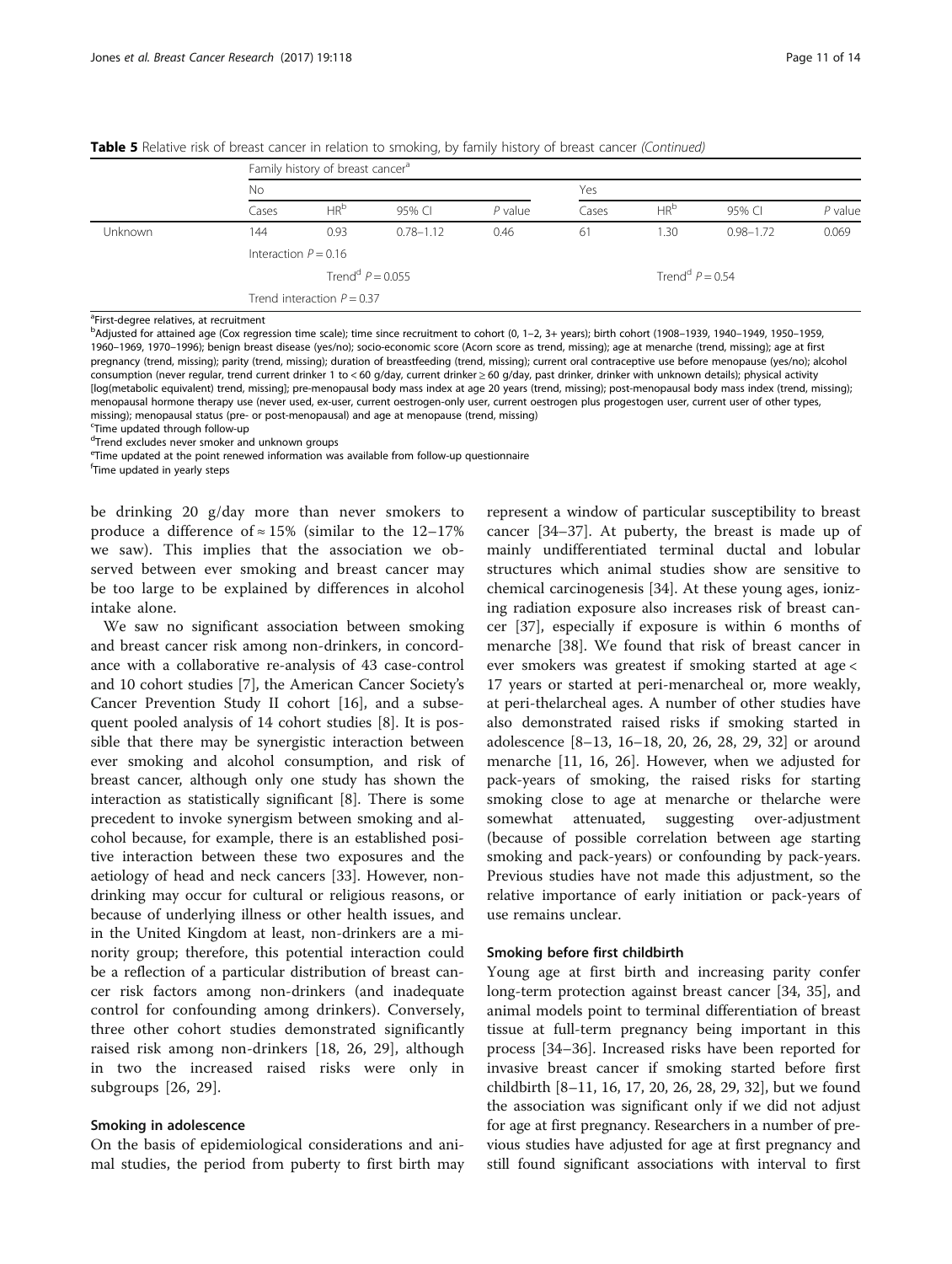|                |                        | Family history of breast cancer <sup>a</sup> |               |           |       |                               |               |           |  |  |
|----------------|------------------------|----------------------------------------------|---------------|-----------|-------|-------------------------------|---------------|-----------|--|--|
|                | No                     |                                              |               |           | Yes   |                               |               |           |  |  |
|                | Cases                  | HR <sup>b</sup>                              | 95% CL        | $P$ value | Cases | HR <sup>b</sup>               | 95% CI        | $P$ value |  |  |
| <b>Unknown</b> | 144                    | 0.93                                         | $0.78 - 1.12$ | 0.46      | 61    | 1.30                          | $0.98 - 1.72$ | 0.069     |  |  |
|                | Interaction $P = 0.16$ |                                              |               |           |       |                               |               |           |  |  |
|                |                        | Trend <sup>d</sup> $P = 0.055$               |               |           |       | Trend <sup>d</sup> $P = 0.54$ |               |           |  |  |
|                |                        | Trend interaction $P = 0.37$                 |               |           |       |                               |               |           |  |  |

Table 5 Relative risk of breast cancer in relation to smoking, by family history of breast cancer (Continued)

<sup>a</sup>First-degree relatives, at recruitment

b Adjusted for attained age (Cox regression time scale); time since recruitment to cohort (0, 1–2, 3+ years); birth cohort (1908–1939, 1940–1949, 1950–1959, 1960–1969, 1970–1996); benign breast disease (yes/no); socio-economic score (Acorn score as trend, missing); age at menarche (trend, missing); age at first pregnancy (trend, missing); parity (trend, missing); duration of breastfeeding (trend, missing); current oral contraceptive use before menopause (yes/no); alcohol consumption (never regular, trend current drinker 1 to < 60 g/day, current drinker ≥ 60 g/day, past drinker, drinker with unknown details); physical activity [log(metabolic equivalent) trend, missing]; pre-menopausal body mass index at age 20 years (trend, missing); post-menopausal body mass index (trend, missing); menopausal hormone therapy use (never used, ex-user, current oestrogen-only user, current oestrogen plus progestogen user, current user of other types, missing); menopausal status (pre- or post-menopausal) and age at menopause (trend, missing)

<sup>c</sup>Time updated through follow-up

d Trend excludes never smoker and unknown groups

e Time updated at the point renewed information was available from follow-up questionnaire

f Time updated in yearly steps

be drinking 20 g/day more than never smokers to produce a difference of  $\approx 15\%$  (similar to the 12–17% we saw). This implies that the association we observed between ever smoking and breast cancer may be too large to be explained by differences in alcohol intake alone.

We saw no significant association between smoking and breast cancer risk among non-drinkers, in concordance with a collaborative re-analysis of 43 case-control and 10 cohort studies [\[7\]](#page-12-0), the American Cancer Society's Cancer Prevention Study II cohort [[16\]](#page-12-0), and a subsequent pooled analysis of 14 cohort studies [\[8](#page-12-0)]. It is possible that there may be synergistic interaction between ever smoking and alcohol consumption, and risk of breast cancer, although only one study has shown the interaction as statistically significant [[8\]](#page-12-0). There is some precedent to invoke synergism between smoking and alcohol because, for example, there is an established positive interaction between these two exposures and the aetiology of head and neck cancers [[33](#page-13-0)]. However, nondrinking may occur for cultural or religious reasons, or because of underlying illness or other health issues, and in the United Kingdom at least, non-drinkers are a minority group; therefore, this potential interaction could be a reflection of a particular distribution of breast cancer risk factors among non-drinkers (and inadequate control for confounding among drinkers). Conversely, three other cohort studies demonstrated significantly raised risk among non-drinkers [\[18](#page-12-0), [26](#page-12-0), [29\]](#page-12-0), although in two the increased raised risks were only in subgroups [[26, 29\]](#page-12-0).

#### Smoking in adolescence

On the basis of epidemiological considerations and animal studies, the period from puberty to first birth may

represent a window of particular susceptibility to breast cancer [[34](#page-13-0)–[37](#page-13-0)]. At puberty, the breast is made up of mainly undifferentiated terminal ductal and lobular structures which animal studies show are sensitive to chemical carcinogenesis [\[34\]](#page-13-0). At these young ages, ionizing radiation exposure also increases risk of breast cancer [\[37](#page-13-0)], especially if exposure is within 6 months of menarche [\[38](#page-13-0)]. We found that risk of breast cancer in ever smokers was greatest if smoking started at age < 17 years or started at peri-menarcheal or, more weakly, at peri-thelarcheal ages. A number of other studies have also demonstrated raised risks if smoking started in adolescence [\[8](#page-12-0)–[13, 16](#page-12-0)–[18](#page-12-0), [20, 26](#page-12-0), [28, 29, 32](#page-12-0)] or around menarche [\[11](#page-12-0), [16](#page-12-0), [26\]](#page-12-0). However, when we adjusted for pack-years of smoking, the raised risks for starting smoking close to age at menarche or thelarche were somewhat attenuated, suggesting over-adjustment (because of possible correlation between age starting smoking and pack-years) or confounding by pack-years. Previous studies have not made this adjustment, so the relative importance of early initiation or pack-years of use remains unclear.

#### Smoking before first childbirth

Young age at first birth and increasing parity confer long-term protection against breast cancer [\[34, 35\]](#page-13-0), and animal models point to terminal differentiation of breast tissue at full-term pregnancy being important in this process [\[34](#page-13-0)–[36\]](#page-13-0). Increased risks have been reported for invasive breast cancer if smoking started before first childbirth [[8](#page-12-0)–[11](#page-12-0), [16](#page-12-0), [17](#page-12-0), [20](#page-12-0), [26, 28, 29, 32\]](#page-12-0), but we found the association was significant only if we did not adjust for age at first pregnancy. Researchers in a number of previous studies have adjusted for age at first pregnancy and still found significant associations with interval to first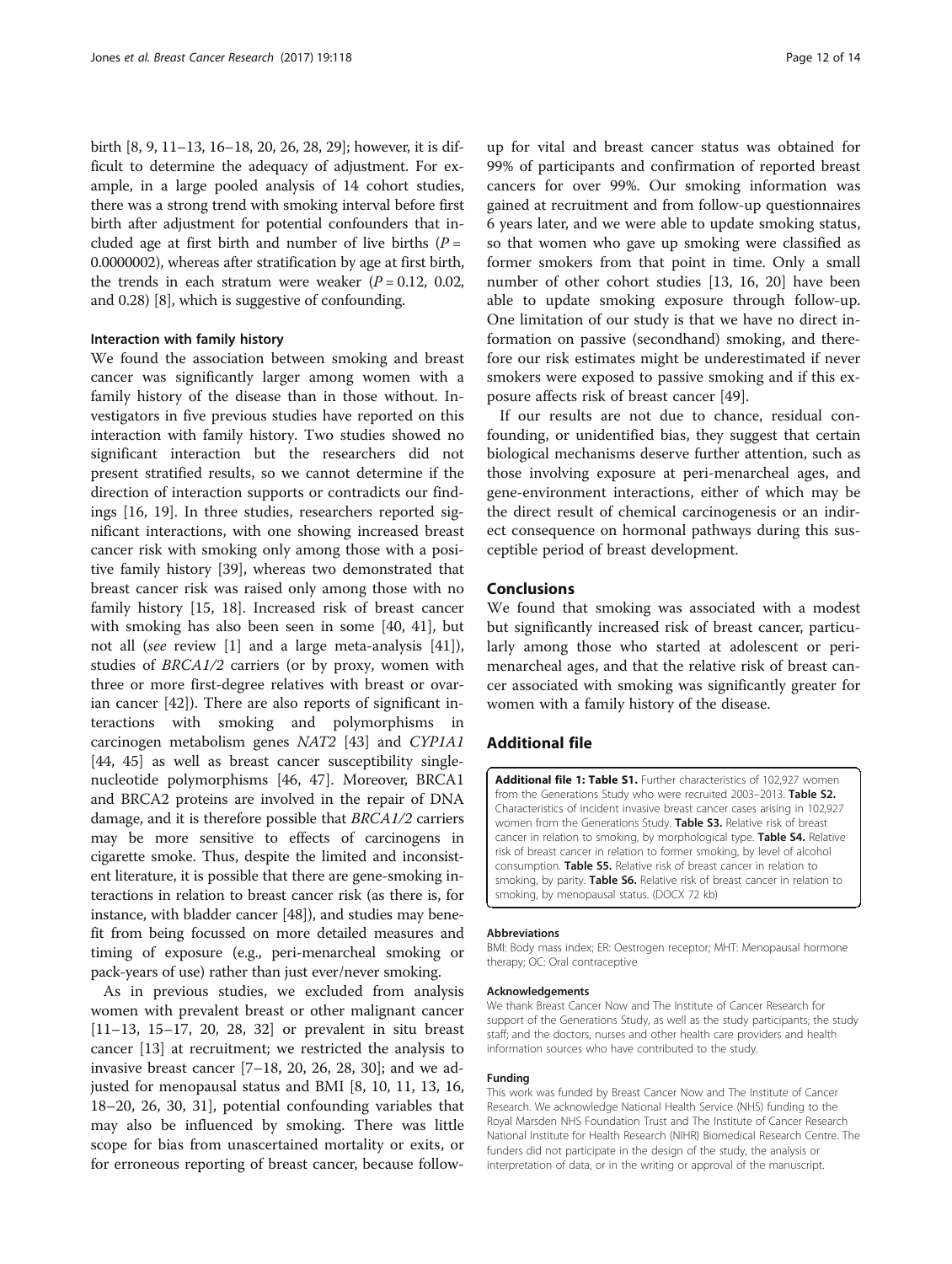<span id="page-11-0"></span>birth [[8, 9](#page-12-0), [11](#page-12-0)–[13](#page-12-0), [16](#page-12-0)–[18](#page-12-0), [20, 26, 28](#page-12-0), [29\]](#page-12-0); however, it is difficult to determine the adequacy of adjustment. For example, in a large pooled analysis of 14 cohort studies, there was a strong trend with smoking interval before first birth after adjustment for potential confounders that included age at first birth and number of live births  $(P =$ 0.0000002), whereas after stratification by age at first birth, the trends in each stratum were weaker  $(P = 0.12, 0.02,$ and 0.28) [\[8](#page-12-0)], which is suggestive of confounding.

#### Interaction with family history

We found the association between smoking and breast cancer was significantly larger among women with a family history of the disease than in those without. Investigators in five previous studies have reported on this interaction with family history. Two studies showed no significant interaction but the researchers did not present stratified results, so we cannot determine if the direction of interaction supports or contradicts our findings [\[16](#page-12-0), [19\]](#page-12-0). In three studies, researchers reported significant interactions, with one showing increased breast cancer risk with smoking only among those with a positive family history [\[39](#page-13-0)], whereas two demonstrated that breast cancer risk was raised only among those with no family history [\[15, 18](#page-12-0)]. Increased risk of breast cancer with smoking has also been seen in some [[40](#page-13-0), [41](#page-13-0)], but not all (see review [\[1](#page-12-0)] and a large meta-analysis [\[41](#page-13-0)]), studies of BRCA1/2 carriers (or by proxy, women with three or more first-degree relatives with breast or ovarian cancer [[42](#page-13-0)]). There are also reports of significant interactions with smoking and polymorphisms in carcinogen metabolism genes NAT2 [\[43](#page-13-0)] and CYP1A1 [[44, 45\]](#page-13-0) as well as breast cancer susceptibility singlenucleotide polymorphisms [\[46](#page-13-0), [47\]](#page-13-0). Moreover, BRCA1 and BRCA2 proteins are involved in the repair of DNA damage, and it is therefore possible that BRCA1/2 carriers may be more sensitive to effects of carcinogens in cigarette smoke. Thus, despite the limited and inconsistent literature, it is possible that there are gene-smoking interactions in relation to breast cancer risk (as there is, for instance, with bladder cancer [[48](#page-13-0)]), and studies may benefit from being focussed on more detailed measures and timing of exposure (e.g., peri-menarcheal smoking or pack-years of use) rather than just ever/never smoking.

As in previous studies, we excluded from analysis women with prevalent breast or other malignant cancer [[11](#page-12-0)–[13](#page-12-0), [15](#page-12-0)–[17](#page-12-0), [20, 28, 32\]](#page-12-0) or prevalent in situ breast cancer [\[13](#page-12-0)] at recruitment; we restricted the analysis to invasive breast cancer  $[7-18, 20, 26, 28, 30]$  $[7-18, 20, 26, 28, 30]$  $[7-18, 20, 26, 28, 30]$  $[7-18, 20, 26, 28, 30]$  $[7-18, 20, 26, 28, 30]$  $[7-18, 20, 26, 28, 30]$  $[7-18, 20, 26, 28, 30]$  $[7-18, 20, 26, 28, 30]$ ; and we adjusted for menopausal status and BMI [[8, 10](#page-12-0), [11, 13](#page-12-0), [16](#page-12-0), [18](#page-12-0)–[20](#page-12-0), [26](#page-12-0), [30](#page-12-0), [31](#page-12-0)], potential confounding variables that may also be influenced by smoking. There was little scope for bias from unascertained mortality or exits, or for erroneous reporting of breast cancer, because follow-

up for vital and breast cancer status was obtained for 99% of participants and confirmation of reported breast cancers for over 99%. Our smoking information was gained at recruitment and from follow-up questionnaires 6 years later, and we were able to update smoking status, so that women who gave up smoking were classified as former smokers from that point in time. Only a small number of other cohort studies [\[13](#page-12-0), [16, 20\]](#page-12-0) have been able to update smoking exposure through follow-up. One limitation of our study is that we have no direct information on passive (secondhand) smoking, and therefore our risk estimates might be underestimated if never smokers were exposed to passive smoking and if this exposure affects risk of breast cancer [[49](#page-13-0)].

If our results are not due to chance, residual confounding, or unidentified bias, they suggest that certain biological mechanisms deserve further attention, such as those involving exposure at peri-menarcheal ages, and gene-environment interactions, either of which may be the direct result of chemical carcinogenesis or an indirect consequence on hormonal pathways during this susceptible period of breast development.

#### Conclusions

We found that smoking was associated with a modest but significantly increased risk of breast cancer, particularly among those who started at adolescent or perimenarcheal ages, and that the relative risk of breast cancer associated with smoking was significantly greater for women with a family history of the disease.

#### Additional file

[Additional file 1: Table S1.](dx.doi.org/10.1186/s13058-017-0908-4) Further characteristics of 102,927 women from the Generations Study who were recruited 2003-2013. Table S2. Characteristics of incident invasive breast cancer cases arising in 102,927 women from the Generations Study. Table S3. Relative risk of breast cancer in relation to smoking, by morphological type. Table S4. Relative risk of breast cancer in relation to former smoking, by level of alcohol consumption. Table S5. Relative risk of breast cancer in relation to smoking, by parity. Table S6. Relative risk of breast cancer in relation to smoking, by menopausal status. (DOCX 72 kb)

#### Abbreviations

BMI: Body mass index; ER: Oestrogen receptor; MHT: Menopausal hormone therapy; OC: Oral contraceptive

#### Acknowledgements

We thank Breast Cancer Now and The Institute of Cancer Research for support of the Generations Study, as well as the study participants; the study staff; and the doctors, nurses and other health care providers and health information sources who have contributed to the study.

#### Funding

This work was funded by Breast Cancer Now and The Institute of Cancer Research. We acknowledge National Health Service (NHS) funding to the Royal Marsden NHS Foundation Trust and The Institute of Cancer Research National Institute for Health Research (NIHR) Biomedical Research Centre. The funders did not participate in the design of the study, the analysis or interpretation of data, or in the writing or approval of the manuscript.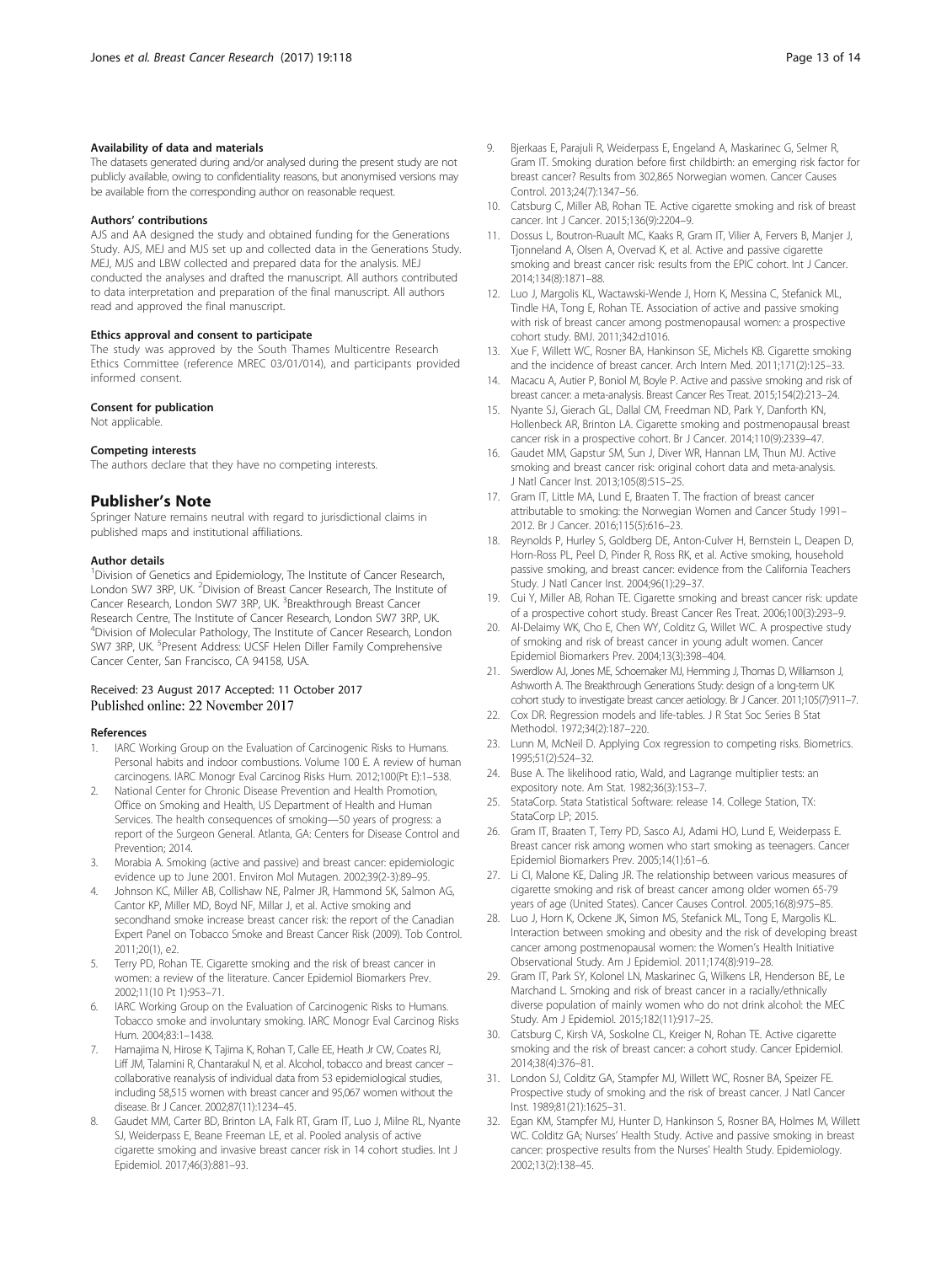#### <span id="page-12-0"></span>Availability of data and materials

The datasets generated during and/or analysed during the present study are not publicly available, owing to confidentiality reasons, but anonymised versions may be available from the corresponding author on reasonable request.

#### Authors' contributions

AJS and AA designed the study and obtained funding for the Generations Study. AJS, MEJ and MJS set up and collected data in the Generations Study. MEJ, MJS and LBW collected and prepared data for the analysis. MEJ conducted the analyses and drafted the manuscript. All authors contributed to data interpretation and preparation of the final manuscript. All authors read and approved the final manuscript.

#### Ethics approval and consent to participate

The study was approved by the South Thames Multicentre Research Ethics Committee (reference MREC 03/01/014), and participants provided informed consent.

#### Consent for publication

Not applicable.

#### Competing interests

The authors declare that they have no competing interests.

#### Publisher's Note

Springer Nature remains neutral with regard to jurisdictional claims in published maps and institutional affiliations.

#### Author details

<sup>1</sup> Division of Genetics and Epidemiology, The Institute of Cancer Research, London SW7 3RP, UK. <sup>2</sup> Division of Breast Cancer Research, The Institute of Cancer Research, London SW7 3RP, UK. <sup>3</sup>Breakthrough Breast Cancer Research Centre, The Institute of Cancer Research, London SW7 3RP, UK. <sup>4</sup>Division of Molecular Pathology, The Institute of Cancer Research, London SW7 3RP, UK. <sup>5</sup>Present Address: UCSF Helen Diller Family Comprehensive Cancer Center, San Francisco, CA 94158, USA.

## Received: 23 August 2017 Accepted: 11 October 2017

#### References

- 1. IARC Working Group on the Evaluation of Carcinogenic Risks to Humans. Personal habits and indoor combustions. Volume 100 E. A review of human carcinogens. IARC Monogr Eval Carcinog Risks Hum. 2012;100(Pt E):1–538.
- National Center for Chronic Disease Prevention and Health Promotion, Office on Smoking and Health, US Department of Health and Human Services. The health consequences of smoking—50 years of progress: a report of the Surgeon General. Atlanta, GA: Centers for Disease Control and Prevention; 2014.
- 3. Morabia A. Smoking (active and passive) and breast cancer: epidemiologic evidence up to June 2001. Environ Mol Mutagen. 2002;39(2-3):89–95.
- 4. Johnson KC, Miller AB, Collishaw NE, Palmer JR, Hammond SK, Salmon AG, Cantor KP, Miller MD, Boyd NF, Millar J, et al. Active smoking and secondhand smoke increase breast cancer risk: the report of the Canadian Expert Panel on Tobacco Smoke and Breast Cancer Risk (2009). Tob Control. 2011;20(1), e2.
- 5. Terry PD, Rohan TE. Cigarette smoking and the risk of breast cancer in women: a review of the literature. Cancer Epidemiol Biomarkers Prev. 2002;11(10 Pt 1):953–71.
- IARC Working Group on the Evaluation of Carcinogenic Risks to Humans. Tobacco smoke and involuntary smoking. IARC Monogr Eval Carcinog Risks Hum. 2004;83:1–1438.
- 7. Hamajima N, Hirose K, Tajima K, Rohan T, Calle EE, Heath Jr CW, Coates RJ, Liff JM, Talamini R, Chantarakul N, et al. Alcohol, tobacco and breast cancer – collaborative reanalysis of individual data from 53 epidemiological studies, including 58,515 women with breast cancer and 95,067 women without the disease. Br J Cancer. 2002;87(11):1234–45.
- Gaudet MM, Carter BD, Brinton LA, Falk RT, Gram IT, Luo J, Milne RL, Nyante SJ, Weiderpass E, Beane Freeman LE, et al. Pooled analysis of active cigarette smoking and invasive breast cancer risk in 14 cohort studies. Int J Epidemiol. 2017;46(3):881–93.
- 9. Bjerkaas E, Parajuli R, Weiderpass E, Engeland A, Maskarinec G, Selmer R, Gram IT. Smoking duration before first childbirth: an emerging risk factor for breast cancer? Results from 302,865 Norwegian women. Cancer Causes Control. 2013;24(7):1347–56.
- 10. Catsburg C, Miller AB, Rohan TE. Active cigarette smoking and risk of breast cancer. Int J Cancer. 2015;136(9):2204–9.
- 11. Dossus L, Boutron-Ruault MC, Kaaks R, Gram IT, Vilier A, Fervers B, Manjer J, Tjonneland A, Olsen A, Overvad K, et al. Active and passive cigarette smoking and breast cancer risk: results from the EPIC cohort. Int J Cancer. 2014;134(8):1871–88.
- 12. Luo J, Margolis KL, Wactawski-Wende J, Horn K, Messina C, Stefanick ML, Tindle HA, Tong E, Rohan TE. Association of active and passive smoking with risk of breast cancer among postmenopausal women: a prospective cohort study. BMJ. 2011;342:d1016.
- 13. Xue F, Willett WC, Rosner BA, Hankinson SE, Michels KB. Cigarette smoking and the incidence of breast cancer. Arch Intern Med. 2011;171(2):125–33.
- 14. Macacu A, Autier P, Boniol M, Boyle P. Active and passive smoking and risk of breast cancer: a meta-analysis. Breast Cancer Res Treat. 2015;154(2):213–24.
- 15. Nyante SJ, Gierach GL, Dallal CM, Freedman ND, Park Y, Danforth KN, Hollenbeck AR, Brinton LA. Cigarette smoking and postmenopausal breast cancer risk in a prospective cohort. Br J Cancer. 2014;110(9):2339–47.
- 16. Gaudet MM, Gapstur SM, Sun J, Diver WR, Hannan LM, Thun MJ. Active smoking and breast cancer risk: original cohort data and meta-analysis. J Natl Cancer Inst. 2013;105(8):515–25.
- 17. Gram IT, Little MA, Lund E, Braaten T. The fraction of breast cancer attributable to smoking: the Norwegian Women and Cancer Study 1991– 2012. Br J Cancer. 2016;115(5):616–23.
- 18. Reynolds P, Hurley S, Goldberg DE, Anton-Culver H, Bernstein L, Deapen D, Horn-Ross PL, Peel D, Pinder R, Ross RK, et al. Active smoking, household passive smoking, and breast cancer: evidence from the California Teachers Study. J Natl Cancer Inst. 2004;96(1):29–37.
- 19. Cui Y, Miller AB, Rohan TE. Cigarette smoking and breast cancer risk: update of a prospective cohort study. Breast Cancer Res Treat. 2006;100(3):293–9.
- 20. Al-Delaimy WK, Cho E, Chen WY, Colditz G, Willet WC. A prospective study of smoking and risk of breast cancer in young adult women. Cancer Epidemiol Biomarkers Prev. 2004;13(3):398–404.
- 21. Swerdlow AJ, Jones ME, Schoemaker MJ, Hemming J, Thomas D, Williamson J, Ashworth A. The Breakthrough Generations Study: design of a long-term UK cohort study to investigate breast cancer aetiology. Br J Cancer. 2011;105(7):911–7.
- 22. Cox DR. Regression models and life-tables. J R Stat Soc Series B Stat Methodol. 1972;34(2):187–220.
- 23. Lunn M, McNeil D. Applying Cox regression to competing risks. Biometrics. 1995;51(2):524–32.
- 24. Buse A. The likelihood ratio, Wald, and Lagrange multiplier tests: an expository note. Am Stat. 1982;36(3):153–7.
- 25. StataCorp. Stata Statistical Software: release 14. College Station, TX: StataCorp LP: 2015.
- 26. Gram IT, Braaten T, Terry PD, Sasco AJ, Adami HO, Lund E, Weiderpass E. Breast cancer risk among women who start smoking as teenagers. Cancer Epidemiol Biomarkers Prev. 2005;14(1):61–6.
- 27. Li CI, Malone KE, Daling JR. The relationship between various measures of cigarette smoking and risk of breast cancer among older women 65-79 years of age (United States). Cancer Causes Control. 2005;16(8):975–85.
- 28. Luo J, Horn K, Ockene JK, Simon MS, Stefanick ML, Tong E, Margolis KL. Interaction between smoking and obesity and the risk of developing breast cancer among postmenopausal women: the Women's Health Initiative Observational Study. Am J Epidemiol. 2011;174(8):919–28.
- 29. Gram IT, Park SY, Kolonel LN, Maskarinec G, Wilkens LR, Henderson BE, Le Marchand L. Smoking and risk of breast cancer in a racially/ethnically diverse population of mainly women who do not drink alcohol: the MEC Study. Am J Epidemiol. 2015;182(11):917–25.
- 30. Catsburg C, Kirsh VA, Soskolne CL, Kreiger N, Rohan TE. Active cigarette smoking and the risk of breast cancer: a cohort study. Cancer Epidemiol. 2014;38(4):376–81.
- 31. London SJ, Colditz GA, Stampfer MJ, Willett WC, Rosner BA, Speizer FE. Prospective study of smoking and the risk of breast cancer. J Natl Cancer Inst. 1989;81(21):1625–31.
- 32. Egan KM, Stampfer MJ, Hunter D, Hankinson S, Rosner BA, Holmes M, Willett WC. Colditz GA; Nurses' Health Study. Active and passive smoking in breast cancer: prospective results from the Nurses' Health Study. Epidemiology. 2002;13(2):138–45.